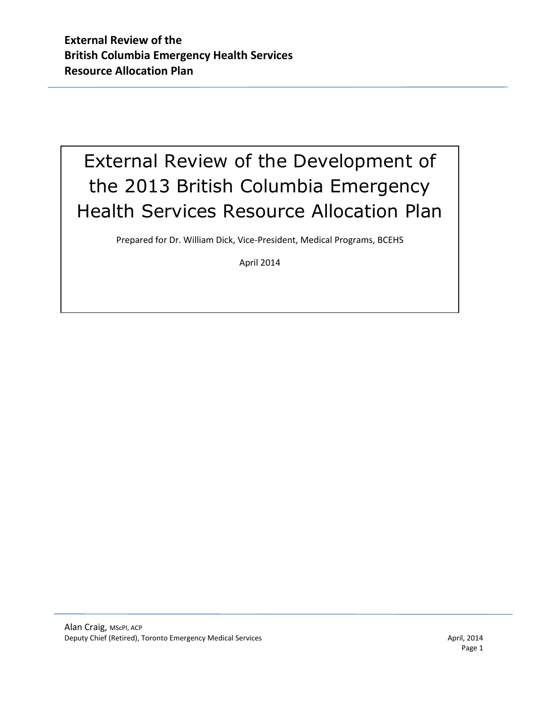# External Review of the Development of the 2013 British Columbia Emergency Health Services Resource Allocation Plan

Prepared for Dr. William Dick, Vice-President, Medical Programs, BCEHS

April 2014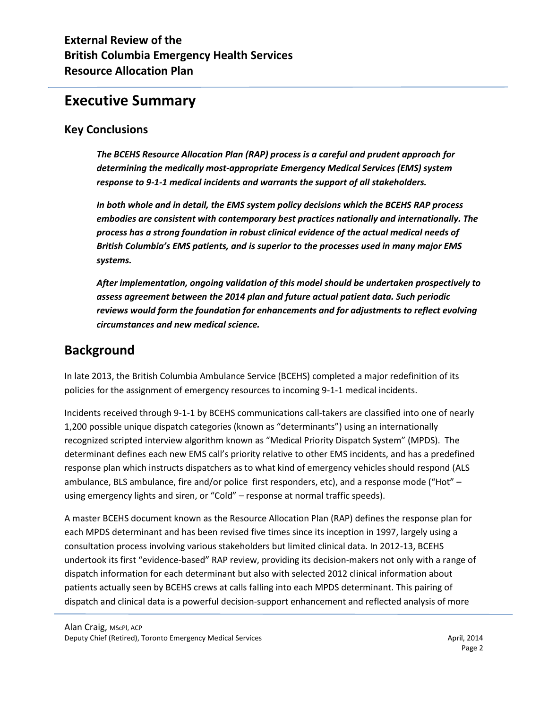# **Executive Summary**

#### **Key Conclusions**

*The BCEHS Resource Allocation Plan (RAP) process is a careful and prudent approach for determining the medically most-appropriate Emergency Medical Services (EMS) system response to 9-1-1 medical incidents and warrants the support of all stakeholders.* 

*In both whole and in detail, the EMS system policy decisions which the BCEHS RAP process embodies are consistent with contemporary best practices nationally and internationally. The process has a strong foundation in robust clinical evidence of the actual medical needs of British Columbia's EMS patients, and is superior to the processes used in many major EMS systems.* 

*After implementation, ongoing validation of this model should be undertaken prospectively to assess agreement between the 2014 plan and future actual patient data. Such periodic reviews would form the foundation for enhancements and for adjustments to reflect evolving circumstances and new medical science.*

# **Background**

In late 2013, the British Columbia Ambulance Service (BCEHS) completed a major redefinition of its policies for the assignment of emergency resources to incoming 9-1-1 medical incidents.

Incidents received through 9-1-1 by BCEHS communications call-takers are classified into one of nearly 1,200 possible unique dispatch categories (known as "determinants") using an internationally recognized scripted interview algorithm known as "Medical Priority Dispatch System" (MPDS). The determinant defines each new EMS call's priority relative to other EMS incidents, and has a predefined response plan which instructs dispatchers as to what kind of emergency vehicles should respond (ALS ambulance, BLS ambulance, fire and/or police first responders, etc), and a response mode ("Hot" – using emergency lights and siren, or "Cold" – response at normal traffic speeds).

A master BCEHS document known as the Resource Allocation Plan (RAP) defines the response plan for each MPDS determinant and has been revised five times since its inception in 1997, largely using a consultation process involving various stakeholders but limited clinical data. In 2012-13, BCEHS undertook its first "evidence-based" RAP review, providing its decision-makers not only with a range of dispatch information for each determinant but also with selected 2012 clinical information about patients actually seen by BCEHS crews at calls falling into each MPDS determinant. This pairing of dispatch and clinical data is a powerful decision-support enhancement and reflected analysis of more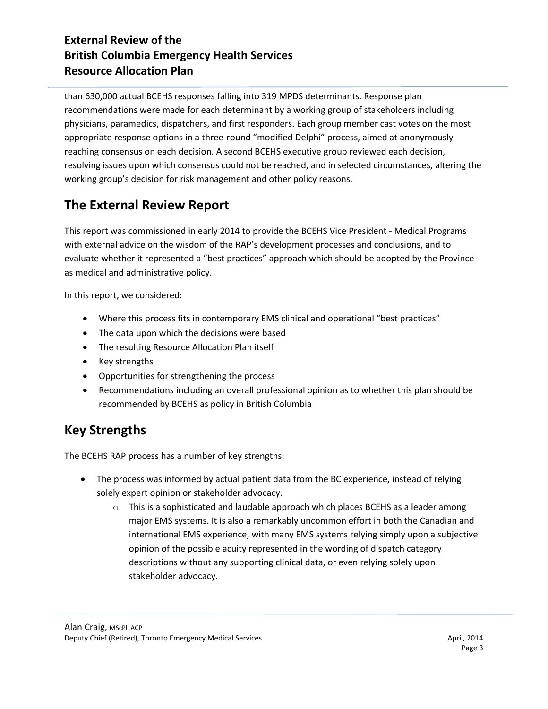than 630,000 actual BCEHS responses falling into 319 MPDS determinants. Response plan recommendations were made for each determinant by a working group of stakeholders including physicians, paramedics, dispatchers, and first responders. Each group member cast votes on the most appropriate response options in a three-round "modified Delphi" process, aimed at anonymously reaching consensus on each decision. A second BCEHS executive group reviewed each decision, resolving issues upon which consensus could not be reached, and in selected circumstances, altering the working group's decision for risk management and other policy reasons.

# **The External Review Report**

This report was commissioned in early 2014 to provide the BCEHS Vice President - Medical Programs with external advice on the wisdom of the RAP's development processes and conclusions, and to evaluate whether it represented a "best practices" approach which should be adopted by the Province as medical and administrative policy.

In this report, we considered:

- Where this process fits in contemporary EMS clinical and operational "best practices"
- The data upon which the decisions were based
- The resulting Resource Allocation Plan itself
- Key strengths
- Opportunities for strengthening the process
- Recommendations including an overall professional opinion as to whether this plan should be recommended by BCEHS as policy in British Columbia

# **Key Strengths**

The BCEHS RAP process has a number of key strengths:

- The process was informed by actual patient data from the BC experience, instead of relying solely expert opinion or stakeholder advocacy.
	- $\circ$  This is a sophisticated and laudable approach which places BCEHS as a leader among major EMS systems. It is also a remarkably uncommon effort in both the Canadian and international EMS experience, with many EMS systems relying simply upon a subjective opinion of the possible acuity represented in the wording of dispatch category descriptions without any supporting clinical data, or even relying solely upon stakeholder advocacy.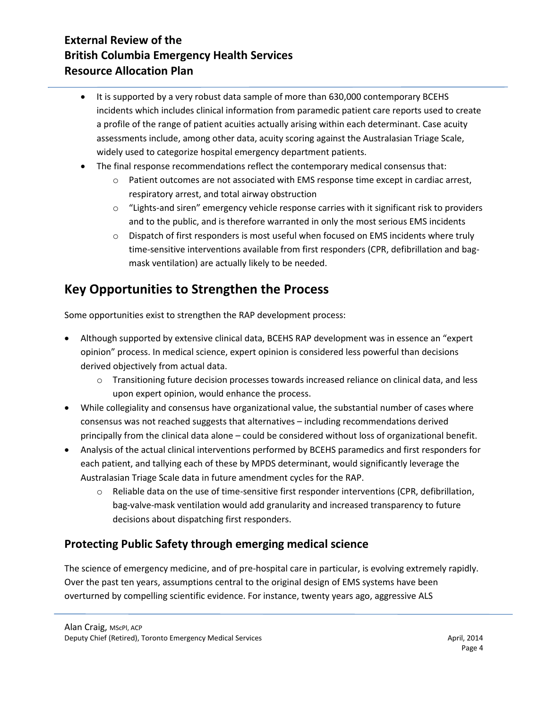- It is supported by a very robust data sample of more than 630,000 contemporary BCEHS incidents which includes clinical information from paramedic patient care reports used to create a profile of the range of patient acuities actually arising within each determinant. Case acuity assessments include, among other data, acuity scoring against the Australasian Triage Scale, widely used to categorize hospital emergency department patients.
- The final response recommendations reflect the contemporary medical consensus that:
	- $\circ$  Patient outcomes are not associated with EMS response time except in cardiac arrest, respiratory arrest, and total airway obstruction
	- $\circ$  "Lights-and siren" emergency vehicle response carries with it significant risk to providers and to the public, and is therefore warranted in only the most serious EMS incidents
	- $\circ$  Dispatch of first responders is most useful when focused on EMS incidents where truly time-sensitive interventions available from first responders (CPR, defibrillation and bagmask ventilation) are actually likely to be needed.

# **Key Opportunities to Strengthen the Process**

Some opportunities exist to strengthen the RAP development process:

- Although supported by extensive clinical data, BCEHS RAP development was in essence an "expert opinion" process. In medical science, expert opinion is considered less powerful than decisions derived objectively from actual data.
	- $\circ$  Transitioning future decision processes towards increased reliance on clinical data, and less upon expert opinion, would enhance the process.
- While collegiality and consensus have organizational value, the substantial number of cases where consensus was not reached suggests that alternatives – including recommendations derived principally from the clinical data alone – could be considered without loss of organizational benefit.
- Analysis of the actual clinical interventions performed by BCEHS paramedics and first responders for each patient, and tallying each of these by MPDS determinant, would significantly leverage the Australasian Triage Scale data in future amendment cycles for the RAP.
	- $\circ$  Reliable data on the use of time-sensitive first responder interventions (CPR, defibrillation, bag-valve-mask ventilation would add granularity and increased transparency to future decisions about dispatching first responders.

# **Protecting Public Safety through emerging medical science**

The science of emergency medicine, and of pre-hospital care in particular, is evolving extremely rapidly. Over the past ten years, assumptions central to the original design of EMS systems have been overturned by compelling scientific evidence. For instance, twenty years ago, aggressive ALS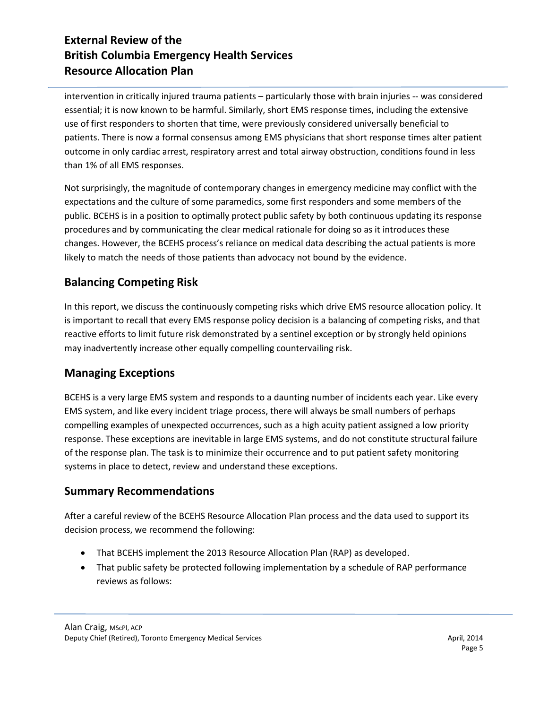intervention in critically injured trauma patients – particularly those with brain injuries -- was considered essential; it is now known to be harmful. Similarly, short EMS response times, including the extensive use of first responders to shorten that time, were previously considered universally beneficial to patients. There is now a formal consensus among EMS physicians that short response times alter patient outcome in only cardiac arrest, respiratory arrest and total airway obstruction, conditions found in less than 1% of all EMS responses.

Not surprisingly, the magnitude of contemporary changes in emergency medicine may conflict with the expectations and the culture of some paramedics, some first responders and some members of the public. BCEHS is in a position to optimally protect public safety by both continuous updating its response procedures and by communicating the clear medical rationale for doing so as it introduces these changes. However, the BCEHS process's reliance on medical data describing the actual patients is more likely to match the needs of those patients than advocacy not bound by the evidence.

### **Balancing Competing Risk**

In this report, we discuss the continuously competing risks which drive EMS resource allocation policy. It is important to recall that every EMS response policy decision is a balancing of competing risks, and that reactive efforts to limit future risk demonstrated by a sentinel exception or by strongly held opinions may inadvertently increase other equally compelling countervailing risk.

### **Managing Exceptions**

BCEHS is a very large EMS system and responds to a daunting number of incidents each year. Like every EMS system, and like every incident triage process, there will always be small numbers of perhaps compelling examples of unexpected occurrences, such as a high acuity patient assigned a low priority response. These exceptions are inevitable in large EMS systems, and do not constitute structural failure of the response plan. The task is to minimize their occurrence and to put patient safety monitoring systems in place to detect, review and understand these exceptions.

#### **Summary Recommendations**

After a careful review of the BCEHS Resource Allocation Plan process and the data used to support its decision process, we recommend the following:

- That BCEHS implement the 2013 Resource Allocation Plan (RAP) as developed.
- That public safety be protected following implementation by a schedule of RAP performance reviews as follows: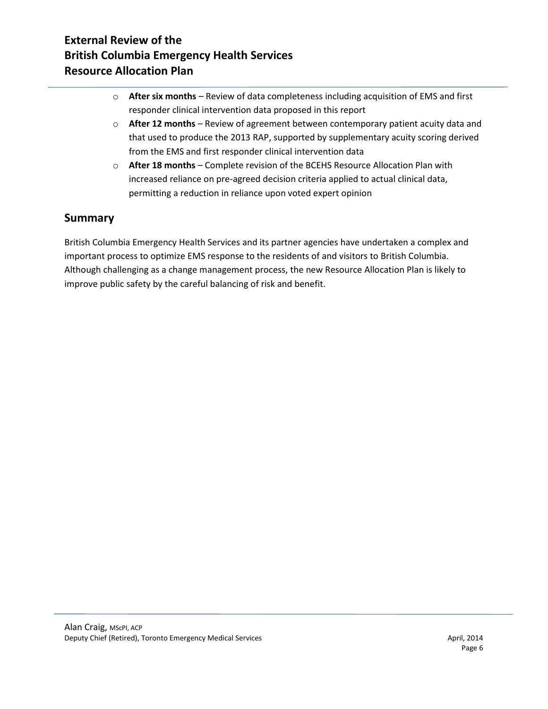- o **After six months** Review of data completeness including acquisition of EMS and first responder clinical intervention data proposed in this report
- o **After 12 months** Review of agreement between contemporary patient acuity data and that used to produce the 2013 RAP, supported by supplementary acuity scoring derived from the EMS and first responder clinical intervention data
- o **After 18 months** Complete revision of the BCEHS Resource Allocation Plan with increased reliance on pre-agreed decision criteria applied to actual clinical data, permitting a reduction in reliance upon voted expert opinion

# **Summary**

British Columbia Emergency Health Services and its partner agencies have undertaken a complex and important process to optimize EMS response to the residents of and visitors to British Columbia. Although challenging as a change management process, the new Resource Allocation Plan is likely to improve public safety by the careful balancing of risk and benefit.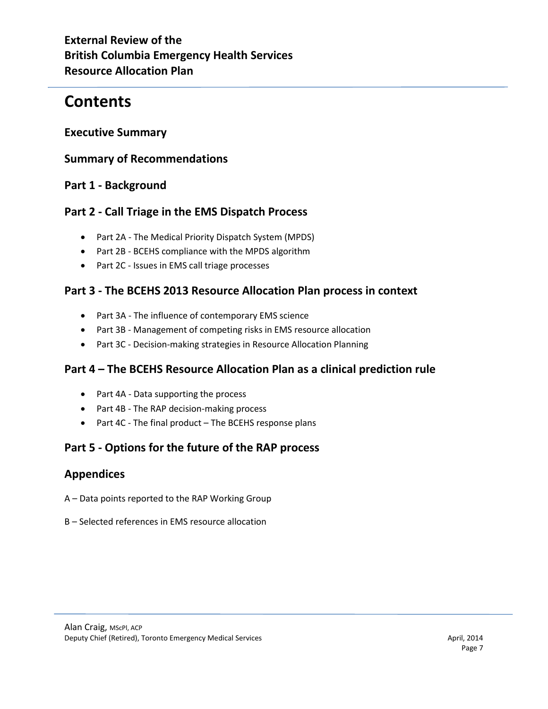# **Contents**

### **Executive Summary**

### **Summary of Recommendations**

### **Part 1 - Background**

### **Part 2 - Call Triage in the EMS Dispatch Process**

- Part 2A The Medical Priority Dispatch System (MPDS)
- Part 2B BCEHS compliance with the MPDS algorithm
- Part 2C Issues in EMS call triage processes

### **Part 3 - The BCEHS 2013 Resource Allocation Plan process in context**

- Part 3A The influence of contemporary EMS science
- Part 3B Management of competing risks in EMS resource allocation
- Part 3C Decision-making strategies in Resource Allocation Planning

# **Part 4 – The BCEHS Resource Allocation Plan as a clinical prediction rule**

- Part 4A Data supporting the process
- Part 4B The RAP decision-making process
- Part 4C The final product The BCEHS response plans

# **Part 5 - Options for the future of the RAP process**

### **Appendices**

- A Data points reported to the RAP Working Group
- B Selected references in EMS resource allocation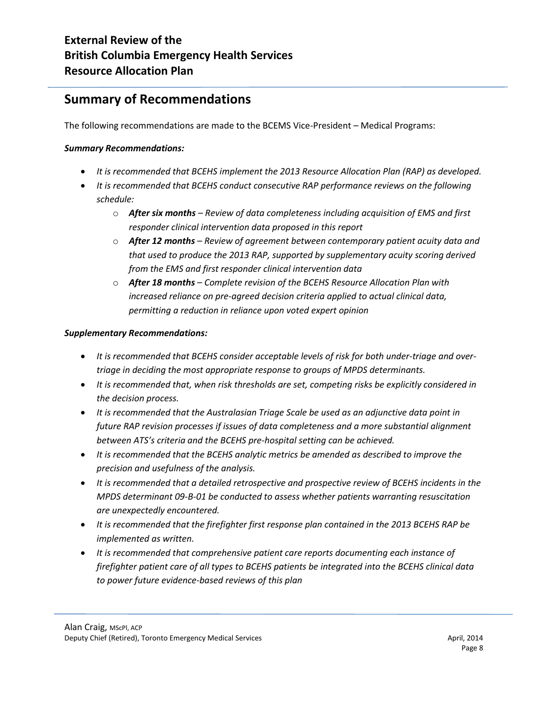# **Summary of Recommendations**

The following recommendations are made to the BCEMS Vice-President – Medical Programs:

#### *Summary Recommendations:*

- *It is recommended that BCEHS implement the 2013 Resource Allocation Plan (RAP) as developed.*
- *It is recommended that BCEHS conduct consecutive RAP performance reviews on the following schedule:*
	- o *After six months – Review of data completeness including acquisition of EMS and first responder clinical intervention data proposed in this report*
	- o *After 12 months – Review of agreement between contemporary patient acuity data and that used to produce the 2013 RAP, supported by supplementary acuity scoring derived from the EMS and first responder clinical intervention data*
	- o *After 18 months – Complete revision of the BCEHS Resource Allocation Plan with increased reliance on pre-agreed decision criteria applied to actual clinical data, permitting a reduction in reliance upon voted expert opinion*

#### *Supplementary Recommendations:*

- *It is recommended that BCEHS consider acceptable levels of risk for both under-triage and overtriage in deciding the most appropriate response to groups of MPDS determinants.*
- *It is recommended that, when risk thresholds are set, competing risks be explicitly considered in the decision process.*
- *It is recommended that the Australasian Triage Scale be used as an adjunctive data point in future RAP revision processes if issues of data completeness and a more substantial alignment between ATS's criteria and the BCEHS pre-hospital setting can be achieved.*
- *It is recommended that the BCEHS analytic metrics be amended as described to improve the precision and usefulness of the analysis.*
- *It is recommended that a detailed retrospective and prospective review of BCEHS incidents in the MPDS determinant 09-B-01 be conducted to assess whether patients warranting resuscitation are unexpectedly encountered.*
- *It is recommended that the firefighter first response plan contained in the 2013 BCEHS RAP be implemented as written.*
- *It is recommended that comprehensive patient care reports documenting each instance of firefighter patient care of all types to BCEHS patients be integrated into the BCEHS clinical data to power future evidence-based reviews of this plan*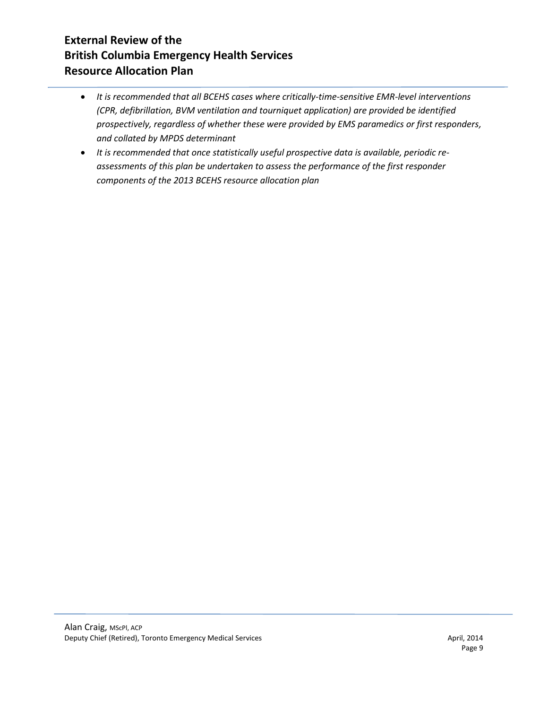- *It is recommended that all BCEHS cases where critically-time-sensitive EMR-level interventions (CPR, defibrillation, BVM ventilation and tourniquet application) are provided be identified prospectively, regardless of whether these were provided by EMS paramedics or first responders, and collated by MPDS determinant*
- *It is recommended that once statistically useful prospective data is available, periodic reassessments of this plan be undertaken to assess the performance of the first responder components of the 2013 BCEHS resource allocation plan*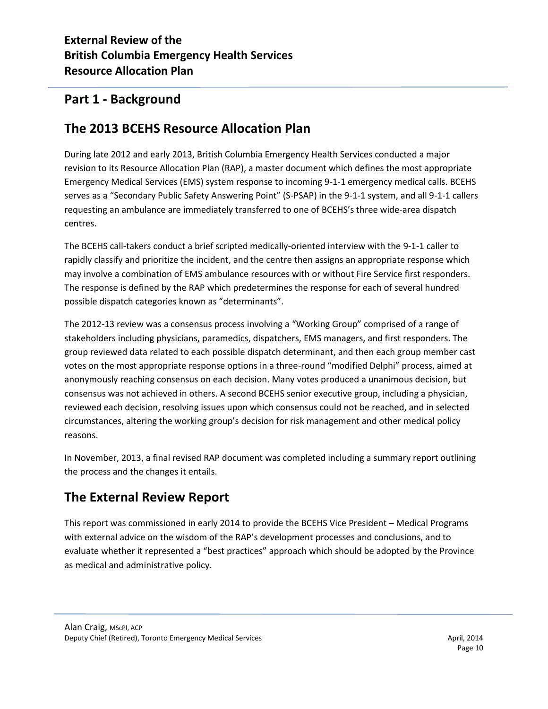# **Part 1 - Background**

# **The 2013 BCEHS Resource Allocation Plan**

During late 2012 and early 2013, British Columbia Emergency Health Services conducted a major revision to its Resource Allocation Plan (RAP), a master document which defines the most appropriate Emergency Medical Services (EMS) system response to incoming 9-1-1 emergency medical calls. BCEHS serves as a "Secondary Public Safety Answering Point" (S-PSAP) in the 9-1-1 system, and all 9-1-1 callers requesting an ambulance are immediately transferred to one of BCEHS's three wide-area dispatch centres.

The BCEHS call-takers conduct a brief scripted medically-oriented interview with the 9-1-1 caller to rapidly classify and prioritize the incident, and the centre then assigns an appropriate response which may involve a combination of EMS ambulance resources with or without Fire Service first responders. The response is defined by the RAP which predetermines the response for each of several hundred possible dispatch categories known as "determinants".

The 2012-13 review was a consensus process involving a "Working Group" comprised of a range of stakeholders including physicians, paramedics, dispatchers, EMS managers, and first responders. The group reviewed data related to each possible dispatch determinant, and then each group member cast votes on the most appropriate response options in a three-round "modified Delphi" process, aimed at anonymously reaching consensus on each decision. Many votes produced a unanimous decision, but consensus was not achieved in others. A second BCEHS senior executive group, including a physician, reviewed each decision, resolving issues upon which consensus could not be reached, and in selected circumstances, altering the working group's decision for risk management and other medical policy reasons.

In November, 2013, a final revised RAP document was completed including a summary report outlining the process and the changes it entails.

# **The External Review Report**

This report was commissioned in early 2014 to provide the BCEHS Vice President – Medical Programs with external advice on the wisdom of the RAP's development processes and conclusions, and to evaluate whether it represented a "best practices" approach which should be adopted by the Province as medical and administrative policy.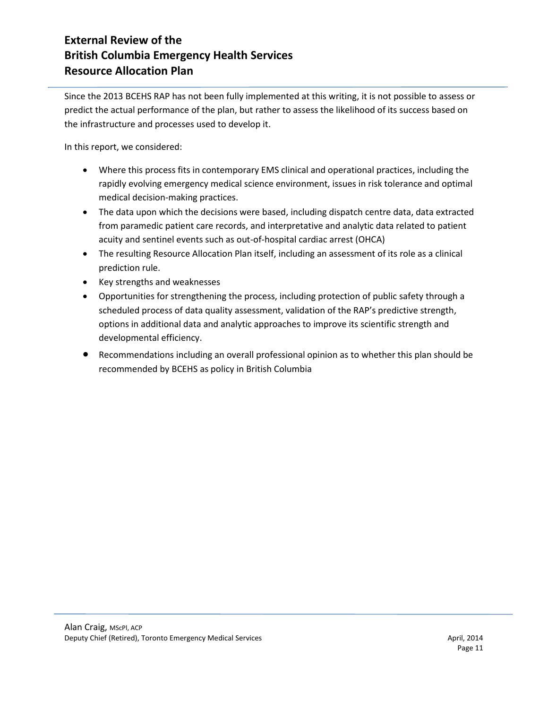Since the 2013 BCEHS RAP has not been fully implemented at this writing, it is not possible to assess or predict the actual performance of the plan, but rather to assess the likelihood of its success based on the infrastructure and processes used to develop it.

In this report, we considered:

- Where this process fits in contemporary EMS clinical and operational practices, including the rapidly evolving emergency medical science environment, issues in risk tolerance and optimal medical decision-making practices.
- The data upon which the decisions were based, including dispatch centre data, data extracted from paramedic patient care records, and interpretative and analytic data related to patient acuity and sentinel events such as out-of-hospital cardiac arrest (OHCA)
- The resulting Resource Allocation Plan itself, including an assessment of its role as a clinical prediction rule.
- Key strengths and weaknesses
- Opportunities for strengthening the process, including protection of public safety through a scheduled process of data quality assessment, validation of the RAP's predictive strength, options in additional data and analytic approaches to improve its scientific strength and developmental efficiency.
- Recommendations including an overall professional opinion as to whether this plan should be recommended by BCEHS as policy in British Columbia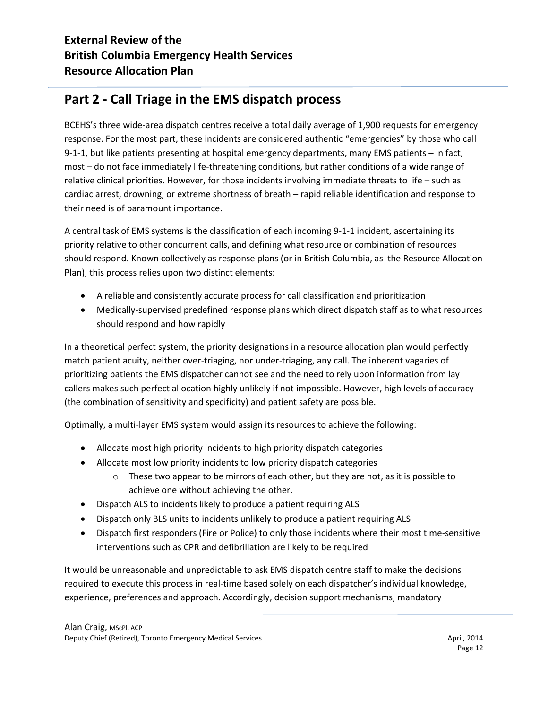# **Part 2 - Call Triage in the EMS dispatch process**

BCEHS's three wide-area dispatch centres receive a total daily average of 1,900 requests for emergency response. For the most part, these incidents are considered authentic "emergencies" by those who call 9-1-1, but like patients presenting at hospital emergency departments, many EMS patients – in fact, most – do not face immediately life-threatening conditions, but rather conditions of a wide range of relative clinical priorities. However, for those incidents involving immediate threats to life – such as cardiac arrest, drowning, or extreme shortness of breath – rapid reliable identification and response to their need is of paramount importance.

A central task of EMS systems is the classification of each incoming 9-1-1 incident, ascertaining its priority relative to other concurrent calls, and defining what resource or combination of resources should respond. Known collectively as response plans (or in British Columbia, as the Resource Allocation Plan), this process relies upon two distinct elements:

- A reliable and consistently accurate process for call classification and prioritization
- Medically-supervised predefined response plans which direct dispatch staff as to what resources should respond and how rapidly

In a theoretical perfect system, the priority designations in a resource allocation plan would perfectly match patient acuity, neither over-triaging, nor under-triaging, any call. The inherent vagaries of prioritizing patients the EMS dispatcher cannot see and the need to rely upon information from lay callers makes such perfect allocation highly unlikely if not impossible. However, high levels of accuracy (the combination of sensitivity and specificity) and patient safety are possible.

Optimally, a multi-layer EMS system would assign its resources to achieve the following:

- Allocate most high priority incidents to high priority dispatch categories
- Allocate most low priority incidents to low priority dispatch categories
	- $\circ$  These two appear to be mirrors of each other, but they are not, as it is possible to achieve one without achieving the other.
- Dispatch ALS to incidents likely to produce a patient requiring ALS
- Dispatch only BLS units to incidents unlikely to produce a patient requiring ALS
- Dispatch first responders (Fire or Police) to only those incidents where their most time-sensitive interventions such as CPR and defibrillation are likely to be required

It would be unreasonable and unpredictable to ask EMS dispatch centre staff to make the decisions required to execute this process in real-time based solely on each dispatcher's individual knowledge, experience, preferences and approach. Accordingly, decision support mechanisms, mandatory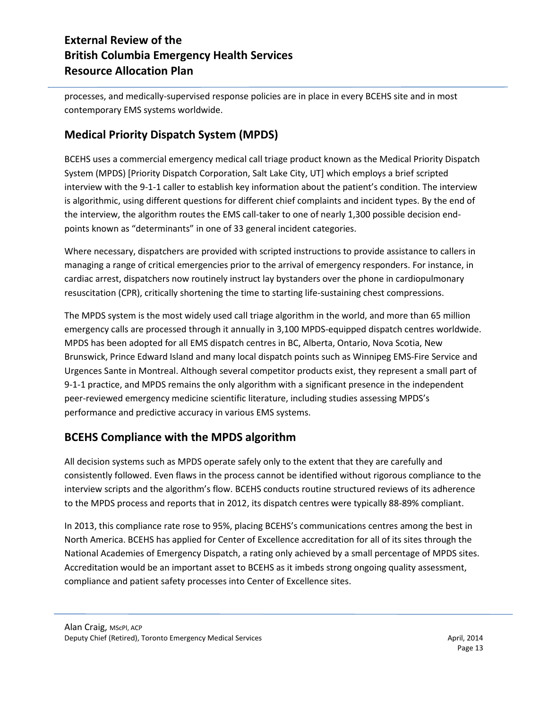processes, and medically-supervised response policies are in place in every BCEHS site and in most contemporary EMS systems worldwide.

# **Medical Priority Dispatch System (MPDS)**

BCEHS uses a commercial emergency medical call triage product known as the Medical Priority Dispatch System (MPDS) [Priority Dispatch Corporation, Salt Lake City, UT] which employs a brief scripted interview with the 9-1-1 caller to establish key information about the patient's condition. The interview is algorithmic, using different questions for different chief complaints and incident types. By the end of the interview, the algorithm routes the EMS call-taker to one of nearly 1,300 possible decision endpoints known as "determinants" in one of 33 general incident categories.

Where necessary, dispatchers are provided with scripted instructions to provide assistance to callers in managing a range of critical emergencies prior to the arrival of emergency responders. For instance, in cardiac arrest, dispatchers now routinely instruct lay bystanders over the phone in cardiopulmonary resuscitation (CPR), critically shortening the time to starting life-sustaining chest compressions.

The MPDS system is the most widely used call triage algorithm in the world, and more than 65 million emergency calls are processed through it annually in 3,100 MPDS-equipped dispatch centres worldwide. MPDS has been adopted for all EMS dispatch centres in BC, Alberta, Ontario, Nova Scotia, New Brunswick, Prince Edward Island and many local dispatch points such as Winnipeg EMS-Fire Service and Urgences Sante in Montreal. Although several competitor products exist, they represent a small part of 9-1-1 practice, and MPDS remains the only algorithm with a significant presence in the independent peer-reviewed emergency medicine scientific literature, including studies assessing MPDS's performance and predictive accuracy in various EMS systems.

### **BCEHS Compliance with the MPDS algorithm**

All decision systems such as MPDS operate safely only to the extent that they are carefully and consistently followed. Even flaws in the process cannot be identified without rigorous compliance to the interview scripts and the algorithm's flow. BCEHS conducts routine structured reviews of its adherence to the MPDS process and reports that in 2012, its dispatch centres were typically 88-89% compliant.

In 2013, this compliance rate rose to 95%, placing BCEHS's communications centres among the best in North America. BCEHS has applied for Center of Excellence accreditation for all of its sites through the National Academies of Emergency Dispatch, a rating only achieved by a small percentage of MPDS sites. Accreditation would be an important asset to BCEHS as it imbeds strong ongoing quality assessment, compliance and patient safety processes into Center of Excellence sites.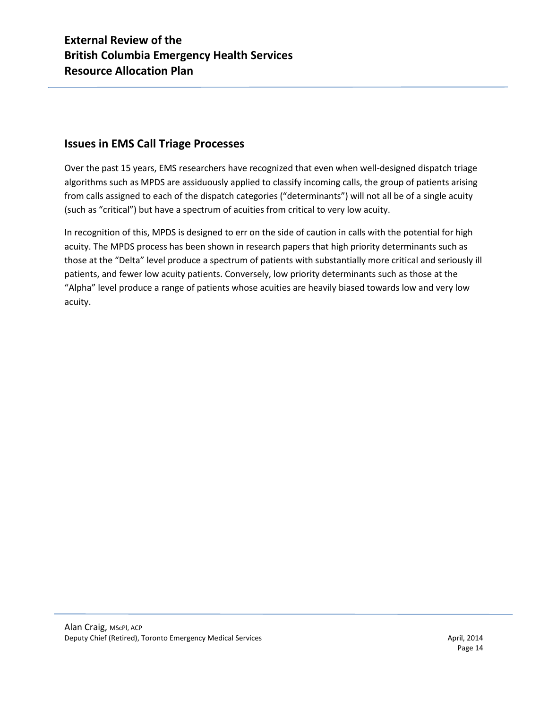### **Issues in EMS Call Triage Processes**

Over the past 15 years, EMS researchers have recognized that even when well-designed dispatch triage algorithms such as MPDS are assiduously applied to classify incoming calls, the group of patients arising from calls assigned to each of the dispatch categories ("determinants") will not all be of a single acuity (such as "critical") but have a spectrum of acuities from critical to very low acuity.

In recognition of this, MPDS is designed to err on the side of caution in calls with the potential for high acuity. The MPDS process has been shown in research papers that high priority determinants such as those at the "Delta" level produce a spectrum of patients with substantially more critical and seriously ill patients, and fewer low acuity patients. Conversely, low priority determinants such as those at the "Alpha" level produce a range of patients whose acuities are heavily biased towards low and very low acuity.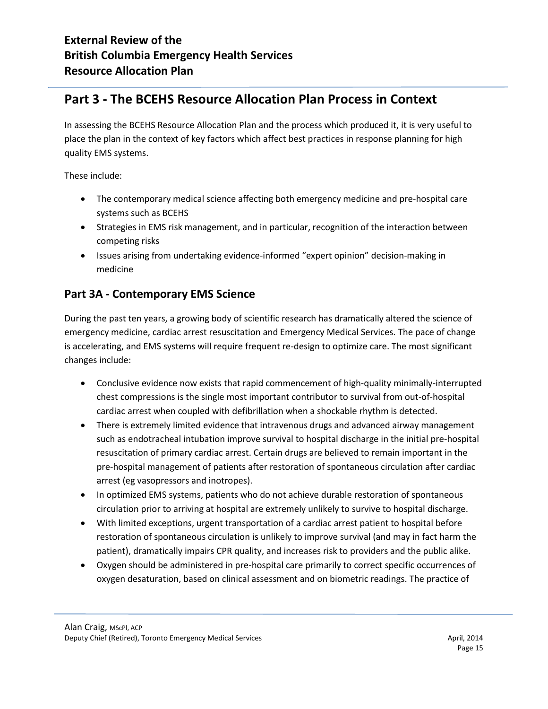# **Part 3 - The BCEHS Resource Allocation Plan Process in Context**

In assessing the BCEHS Resource Allocation Plan and the process which produced it, it is very useful to place the plan in the context of key factors which affect best practices in response planning for high quality EMS systems.

These include:

- The contemporary medical science affecting both emergency medicine and pre-hospital care systems such as BCEHS
- Strategies in EMS risk management, and in particular, recognition of the interaction between competing risks
- Issues arising from undertaking evidence-informed "expert opinion" decision-making in medicine

### **Part 3A - Contemporary EMS Science**

During the past ten years, a growing body of scientific research has dramatically altered the science of emergency medicine, cardiac arrest resuscitation and Emergency Medical Services. The pace of change is accelerating, and EMS systems will require frequent re-design to optimize care. The most significant changes include:

- Conclusive evidence now exists that rapid commencement of high-quality minimally-interrupted chest compressions is the single most important contributor to survival from out-of-hospital cardiac arrest when coupled with defibrillation when a shockable rhythm is detected.
- There is extremely limited evidence that intravenous drugs and advanced airway management such as endotracheal intubation improve survival to hospital discharge in the initial pre-hospital resuscitation of primary cardiac arrest. Certain drugs are believed to remain important in the pre-hospital management of patients after restoration of spontaneous circulation after cardiac arrest (eg vasopressors and inotropes).
- In optimized EMS systems, patients who do not achieve durable restoration of spontaneous circulation prior to arriving at hospital are extremely unlikely to survive to hospital discharge.
- With limited exceptions, urgent transportation of a cardiac arrest patient to hospital before restoration of spontaneous circulation is unlikely to improve survival (and may in fact harm the patient), dramatically impairs CPR quality, and increases risk to providers and the public alike.
- Oxygen should be administered in pre-hospital care primarily to correct specific occurrences of oxygen desaturation, based on clinical assessment and on biometric readings. The practice of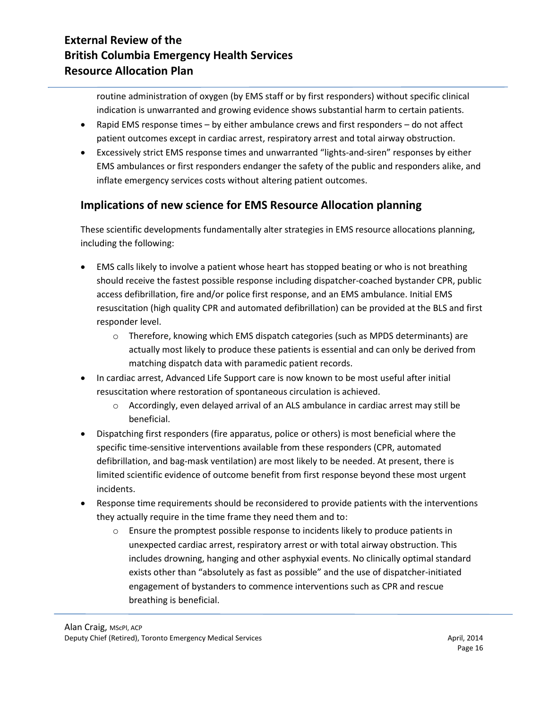routine administration of oxygen (by EMS staff or by first responders) without specific clinical indication is unwarranted and growing evidence shows substantial harm to certain patients.

- Rapid EMS response times by either ambulance crews and first responders do not affect patient outcomes except in cardiac arrest, respiratory arrest and total airway obstruction.
- Excessively strict EMS response times and unwarranted "lights-and-siren" responses by either EMS ambulances or first responders endanger the safety of the public and responders alike, and inflate emergency services costs without altering patient outcomes.

# **Implications of new science for EMS Resource Allocation planning**

These scientific developments fundamentally alter strategies in EMS resource allocations planning, including the following:

- EMS calls likely to involve a patient whose heart has stopped beating or who is not breathing should receive the fastest possible response including dispatcher-coached bystander CPR, public access defibrillation, fire and/or police first response, and an EMS ambulance. Initial EMS resuscitation (high quality CPR and automated defibrillation) can be provided at the BLS and first responder level.
	- $\circ$  Therefore, knowing which EMS dispatch categories (such as MPDS determinants) are actually most likely to produce these patients is essential and can only be derived from matching dispatch data with paramedic patient records.
- In cardiac arrest, Advanced Life Support care is now known to be most useful after initial resuscitation where restoration of spontaneous circulation is achieved.
	- $\circ$  Accordingly, even delayed arrival of an ALS ambulance in cardiac arrest may still be beneficial.
- Dispatching first responders (fire apparatus, police or others) is most beneficial where the specific time-sensitive interventions available from these responders (CPR, automated defibrillation, and bag-mask ventilation) are most likely to be needed. At present, there is limited scientific evidence of outcome benefit from first response beyond these most urgent incidents.
- Response time requirements should be reconsidered to provide patients with the interventions they actually require in the time frame they need them and to:
	- $\circ$  Ensure the promptest possible response to incidents likely to produce patients in unexpected cardiac arrest, respiratory arrest or with total airway obstruction. This includes drowning, hanging and other asphyxial events. No clinically optimal standard exists other than "absolutely as fast as possible" and the use of dispatcher-initiated engagement of bystanders to commence interventions such as CPR and rescue breathing is beneficial.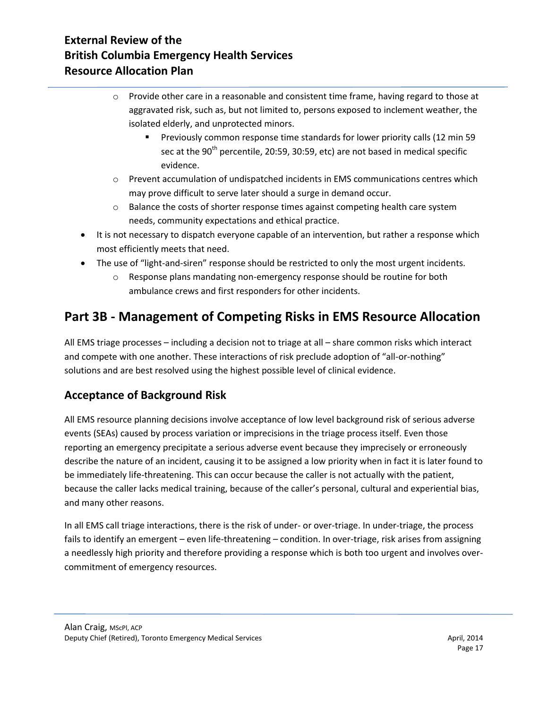- $\circ$  Provide other care in a reasonable and consistent time frame, having regard to those at aggravated risk, such as, but not limited to, persons exposed to inclement weather, the isolated elderly, and unprotected minors.
	- Previously common response time standards for lower priority calls (12 min 59 sec at the  $90<sup>th</sup>$  percentile, 20:59, 30:59, etc) are not based in medical specific evidence.
- $\circ$  Prevent accumulation of undispatched incidents in EMS communications centres which may prove difficult to serve later should a surge in demand occur.
- $\circ$  Balance the costs of shorter response times against competing health care system needs, community expectations and ethical practice.
- It is not necessary to dispatch everyone capable of an intervention, but rather a response which most efficiently meets that need.
- The use of "light-and-siren" response should be restricted to only the most urgent incidents.
	- o Response plans mandating non-emergency response should be routine for both ambulance crews and first responders for other incidents.

# **Part 3B - Management of Competing Risks in EMS Resource Allocation**

All EMS triage processes – including a decision not to triage at all – share common risks which interact and compete with one another. These interactions of risk preclude adoption of "all-or-nothing" solutions and are best resolved using the highest possible level of clinical evidence.

# **Acceptance of Background Risk**

All EMS resource planning decisions involve acceptance of low level background risk of serious adverse events (SEAs) caused by process variation or imprecisions in the triage process itself. Even those reporting an emergency precipitate a serious adverse event because they imprecisely or erroneously describe the nature of an incident, causing it to be assigned a low priority when in fact it is later found to be immediately life-threatening. This can occur because the caller is not actually with the patient, because the caller lacks medical training, because of the caller's personal, cultural and experiential bias, and many other reasons.

In all EMS call triage interactions, there is the risk of under- or over-triage. In under-triage, the process fails to identify an emergent – even life-threatening – condition. In over-triage, risk arises from assigning a needlessly high priority and therefore providing a response which is both too urgent and involves overcommitment of emergency resources.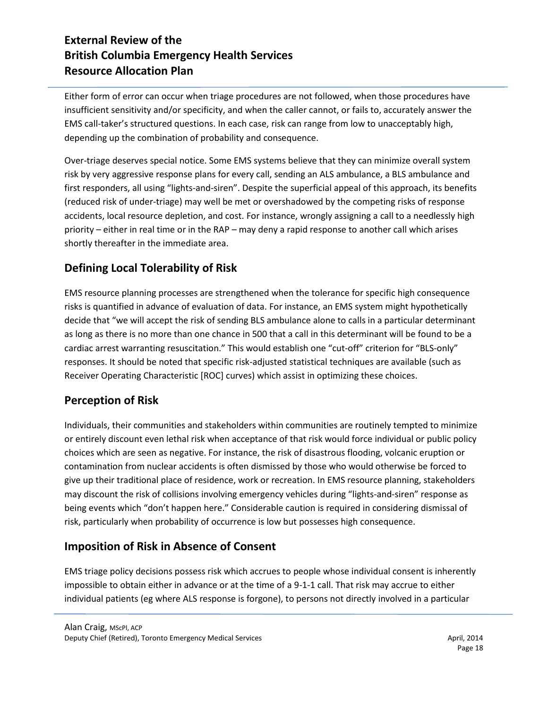Either form of error can occur when triage procedures are not followed, when those procedures have insufficient sensitivity and/or specificity, and when the caller cannot, or fails to, accurately answer the EMS call-taker's structured questions. In each case, risk can range from low to unacceptably high, depending up the combination of probability and consequence.

Over-triage deserves special notice. Some EMS systems believe that they can minimize overall system risk by very aggressive response plans for every call, sending an ALS ambulance, a BLS ambulance and first responders, all using "lights-and-siren". Despite the superficial appeal of this approach, its benefits (reduced risk of under-triage) may well be met or overshadowed by the competing risks of response accidents, local resource depletion, and cost. For instance, wrongly assigning a call to a needlessly high priority – either in real time or in the RAP – may deny a rapid response to another call which arises shortly thereafter in the immediate area.

# **Defining Local Tolerability of Risk**

EMS resource planning processes are strengthened when the tolerance for specific high consequence risks is quantified in advance of evaluation of data. For instance, an EMS system might hypothetically decide that "we will accept the risk of sending BLS ambulance alone to calls in a particular determinant as long as there is no more than one chance in 500 that a call in this determinant will be found to be a cardiac arrest warranting resuscitation." This would establish one "cut-off" criterion for "BLS-only" responses. It should be noted that specific risk-adjusted statistical techniques are available (such as Receiver Operating Characteristic [ROC] curves) which assist in optimizing these choices.

### **Perception of Risk**

Individuals, their communities and stakeholders within communities are routinely tempted to minimize or entirely discount even lethal risk when acceptance of that risk would force individual or public policy choices which are seen as negative. For instance, the risk of disastrous flooding, volcanic eruption or contamination from nuclear accidents is often dismissed by those who would otherwise be forced to give up their traditional place of residence, work or recreation. In EMS resource planning, stakeholders may discount the risk of collisions involving emergency vehicles during "lights-and-siren" response as being events which "don't happen here." Considerable caution is required in considering dismissal of risk, particularly when probability of occurrence is low but possesses high consequence.

### **Imposition of Risk in Absence of Consent**

EMS triage policy decisions possess risk which accrues to people whose individual consent is inherently impossible to obtain either in advance or at the time of a 9-1-1 call. That risk may accrue to either individual patients (eg where ALS response is forgone), to persons not directly involved in a particular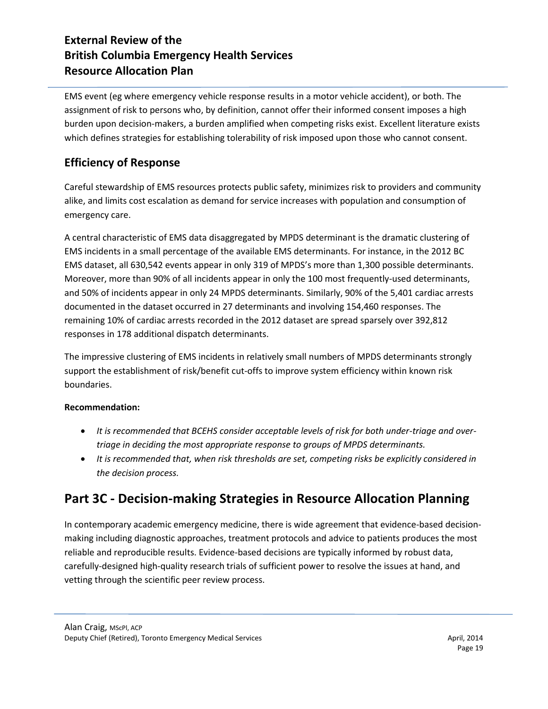EMS event (eg where emergency vehicle response results in a motor vehicle accident), or both. The assignment of risk to persons who, by definition, cannot offer their informed consent imposes a high burden upon decision-makers, a burden amplified when competing risks exist. Excellent literature exists which defines strategies for establishing tolerability of risk imposed upon those who cannot consent.

### **Efficiency of Response**

Careful stewardship of EMS resources protects public safety, minimizes risk to providers and community alike, and limits cost escalation as demand for service increases with population and consumption of emergency care.

A central characteristic of EMS data disaggregated by MPDS determinant is the dramatic clustering of EMS incidents in a small percentage of the available EMS determinants. For instance, in the 2012 BC EMS dataset, all 630,542 events appear in only 319 of MPDS's more than 1,300 possible determinants. Moreover, more than 90% of all incidents appear in only the 100 most frequently-used determinants, and 50% of incidents appear in only 24 MPDS determinants. Similarly, 90% of the 5,401 cardiac arrests documented in the dataset occurred in 27 determinants and involving 154,460 responses. The remaining 10% of cardiac arrests recorded in the 2012 dataset are spread sparsely over 392,812 responses in 178 additional dispatch determinants.

The impressive clustering of EMS incidents in relatively small numbers of MPDS determinants strongly support the establishment of risk/benefit cut-offs to improve system efficiency within known risk boundaries.

#### **Recommendation:**

- *It is recommended that BCEHS consider acceptable levels of risk for both under-triage and overtriage in deciding the most appropriate response to groups of MPDS determinants.*
- *It is recommended that, when risk thresholds are set, competing risks be explicitly considered in the decision process.*

# **Part 3C - Decision-making Strategies in Resource Allocation Planning**

In contemporary academic emergency medicine, there is wide agreement that evidence-based decisionmaking including diagnostic approaches, treatment protocols and advice to patients produces the most reliable and reproducible results. Evidence-based decisions are typically informed by robust data, carefully-designed high-quality research trials of sufficient power to resolve the issues at hand, and vetting through the scientific peer review process.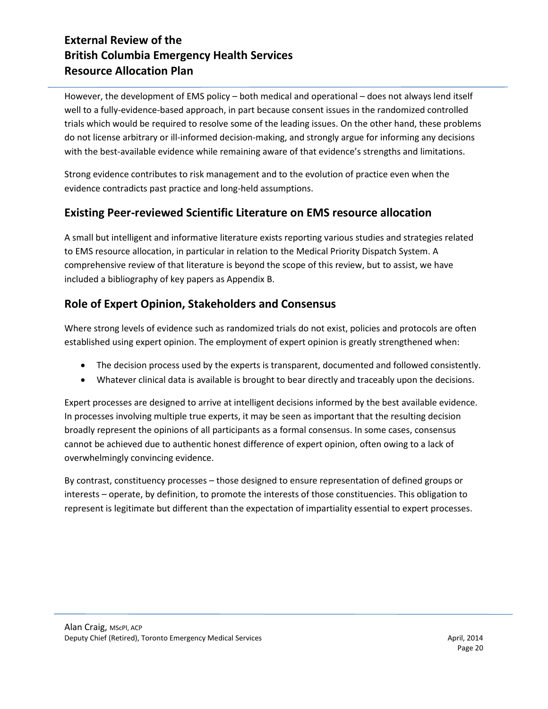However, the development of EMS policy – both medical and operational – does not always lend itself well to a fully-evidence-based approach, in part because consent issues in the randomized controlled trials which would be required to resolve some of the leading issues. On the other hand, these problems do not license arbitrary or ill-informed decision-making, and strongly argue for informing any decisions with the best-available evidence while remaining aware of that evidence's strengths and limitations.

Strong evidence contributes to risk management and to the evolution of practice even when the evidence contradicts past practice and long-held assumptions.

### **Existing Peer-reviewed Scientific Literature on EMS resource allocation**

A small but intelligent and informative literature exists reporting various studies and strategies related to EMS resource allocation, in particular in relation to the Medical Priority Dispatch System. A comprehensive review of that literature is beyond the scope of this review, but to assist, we have included a bibliography of key papers as Appendix B.

### **Role of Expert Opinion, Stakeholders and Consensus**

Where strong levels of evidence such as randomized trials do not exist, policies and protocols are often established using expert opinion. The employment of expert opinion is greatly strengthened when:

- The decision process used by the experts is transparent, documented and followed consistently.
- Whatever clinical data is available is brought to bear directly and traceably upon the decisions.

Expert processes are designed to arrive at intelligent decisions informed by the best available evidence. In processes involving multiple true experts, it may be seen as important that the resulting decision broadly represent the opinions of all participants as a formal consensus. In some cases, consensus cannot be achieved due to authentic honest difference of expert opinion, often owing to a lack of overwhelmingly convincing evidence.

By contrast, constituency processes – those designed to ensure representation of defined groups or interests – operate, by definition, to promote the interests of those constituencies. This obligation to represent is legitimate but different than the expectation of impartiality essential to expert processes.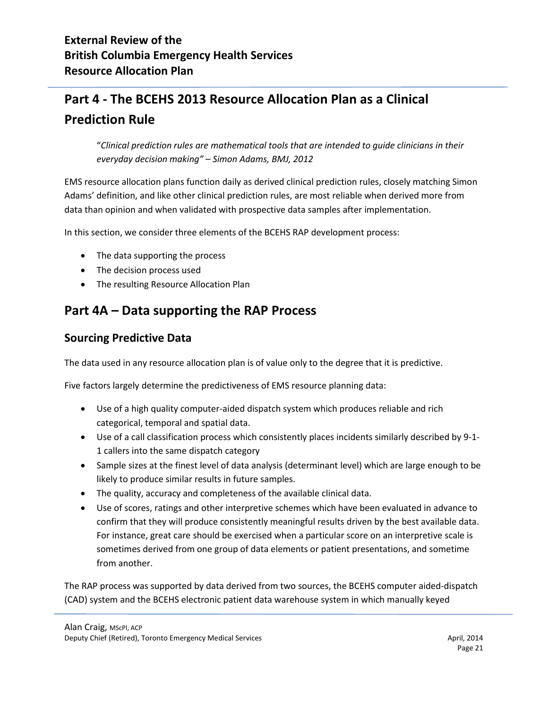# **Part 4 - The BCEHS 2013 Resource Allocation Plan as a Clinical Prediction Rule**

"*Clinical prediction rules are mathematical tools that are intended to guide clinicians in their everyday decision making" – Simon Adams, BMJ, 2012*

EMS resource allocation plans function daily as derived clinical prediction rules, closely matching Simon Adams' definition, and like other clinical prediction rules, are most reliable when derived more from data than opinion and when validated with prospective data samples after implementation.

In this section, we consider three elements of the BCEHS RAP development process:

- The data supporting the process
- The decision process used
- The resulting Resource Allocation Plan

# **Part 4A – Data supporting the RAP Process**

#### **Sourcing Predictive Data**

The data used in any resource allocation plan is of value only to the degree that it is predictive.

Five factors largely determine the predictiveness of EMS resource planning data:

- Use of a high quality computer-aided dispatch system which produces reliable and rich categorical, temporal and spatial data.
- Use of a call classification process which consistently places incidents similarly described by 9-1- 1 callers into the same dispatch category
- Sample sizes at the finest level of data analysis (determinant level) which are large enough to be likely to produce similar results in future samples.
- The quality, accuracy and completeness of the available clinical data.
- Use of scores, ratings and other interpretive schemes which have been evaluated in advance to confirm that they will produce consistently meaningful results driven by the best available data. For instance, great care should be exercised when a particular score on an interpretive scale is sometimes derived from one group of data elements or patient presentations, and sometime from another.

The RAP process was supported by data derived from two sources, the BCEHS computer aided-dispatch (CAD) system and the BCEHS electronic patient data warehouse system in which manually keyed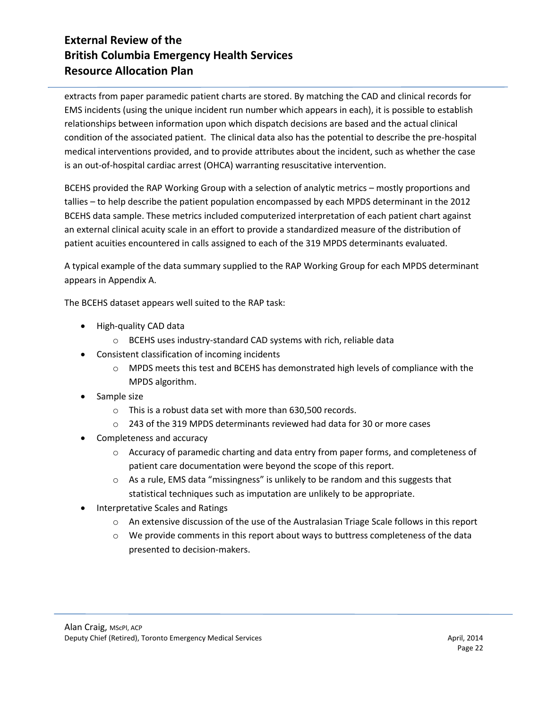extracts from paper paramedic patient charts are stored. By matching the CAD and clinical records for EMS incidents (using the unique incident run number which appears in each), it is possible to establish relationships between information upon which dispatch decisions are based and the actual clinical condition of the associated patient. The clinical data also has the potential to describe the pre-hospital medical interventions provided, and to provide attributes about the incident, such as whether the case is an out-of-hospital cardiac arrest (OHCA) warranting resuscitative intervention.

BCEHS provided the RAP Working Group with a selection of analytic metrics – mostly proportions and tallies – to help describe the patient population encompassed by each MPDS determinant in the 2012 BCEHS data sample. These metrics included computerized interpretation of each patient chart against an external clinical acuity scale in an effort to provide a standardized measure of the distribution of patient acuities encountered in calls assigned to each of the 319 MPDS determinants evaluated.

A typical example of the data summary supplied to the RAP Working Group for each MPDS determinant appears in Appendix A.

The BCEHS dataset appears well suited to the RAP task:

- High-quality CAD data
	- o BCEHS uses industry-standard CAD systems with rich, reliable data
- Consistent classification of incoming incidents
	- $\circ$  MPDS meets this test and BCEHS has demonstrated high levels of compliance with the MPDS algorithm.
- Sample size
	- o This is a robust data set with more than 630,500 records.
	- o 243 of the 319 MPDS determinants reviewed had data for 30 or more cases
- Completeness and accuracy
	- o Accuracy of paramedic charting and data entry from paper forms, and completeness of patient care documentation were beyond the scope of this report.
	- $\circ$  As a rule, EMS data "missingness" is unlikely to be random and this suggests that statistical techniques such as imputation are unlikely to be appropriate.
- Interpretative Scales and Ratings
	- o An extensive discussion of the use of the Australasian Triage Scale follows in this report
	- $\circ$  We provide comments in this report about ways to buttress completeness of the data presented to decision-makers.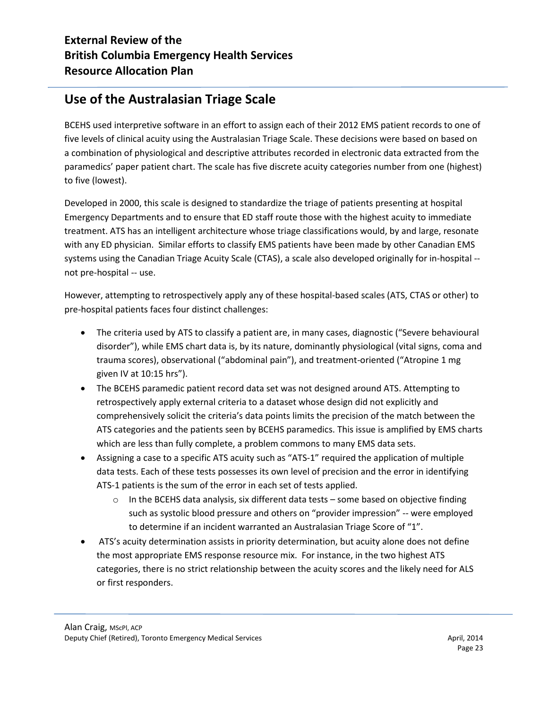# **Use of the Australasian Triage Scale**

BCEHS used interpretive software in an effort to assign each of their 2012 EMS patient records to one of five levels of clinical acuity using the Australasian Triage Scale. These decisions were based on based on a combination of physiological and descriptive attributes recorded in electronic data extracted from the paramedics' paper patient chart. The scale has five discrete acuity categories number from one (highest) to five (lowest).

Developed in 2000, this scale is designed to standardize the triage of patients presenting at hospital Emergency Departments and to ensure that ED staff route those with the highest acuity to immediate treatment. ATS has an intelligent architecture whose triage classifications would, by and large, resonate with any ED physician. Similar efforts to classify EMS patients have been made by other Canadian EMS systems using the Canadian Triage Acuity Scale (CTAS), a scale also developed originally for in-hospital - not pre-hospital -- use.

However, attempting to retrospectively apply any of these hospital-based scales (ATS, CTAS or other) to pre-hospital patients faces four distinct challenges:

- The criteria used by ATS to classify a patient are, in many cases, diagnostic ("Severe behavioural disorder"), while EMS chart data is, by its nature, dominantly physiological (vital signs, coma and trauma scores), observational ("abdominal pain"), and treatment-oriented ("Atropine 1 mg given IV at 10:15 hrs").
- The BCEHS paramedic patient record data set was not designed around ATS. Attempting to retrospectively apply external criteria to a dataset whose design did not explicitly and comprehensively solicit the criteria's data points limits the precision of the match between the ATS categories and the patients seen by BCEHS paramedics. This issue is amplified by EMS charts which are less than fully complete, a problem commons to many EMS data sets.
- Assigning a case to a specific ATS acuity such as "ATS-1" required the application of multiple data tests. Each of these tests possesses its own level of precision and the error in identifying ATS-1 patients is the sum of the error in each set of tests applied.
	- $\circ$  In the BCEHS data analysis, six different data tests some based on objective finding such as systolic blood pressure and others on "provider impression" -- were employed to determine if an incident warranted an Australasian Triage Score of "1".
- ATS's acuity determination assists in priority determination, but acuity alone does not define the most appropriate EMS response resource mix. For instance, in the two highest ATS categories, there is no strict relationship between the acuity scores and the likely need for ALS or first responders.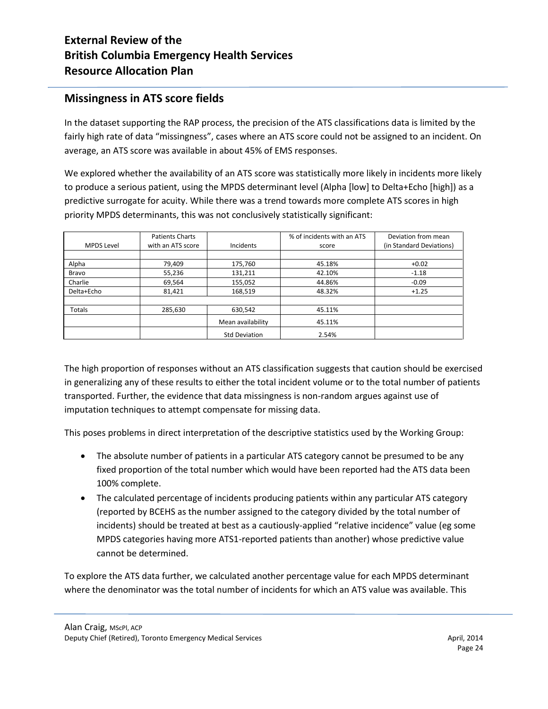#### **Missingness in ATS score fields**

In the dataset supporting the RAP process, the precision of the ATS classifications data is limited by the fairly high rate of data "missingness", cases where an ATS score could not be assigned to an incident. On average, an ATS score was available in about 45% of EMS responses.

We explored whether the availability of an ATS score was statistically more likely in incidents more likely to produce a serious patient, using the MPDS determinant level (Alpha [low] to Delta+Echo [high]) as a predictive surrogate for acuity. While there was a trend towards more complete ATS scores in high priority MPDS determinants, this was not conclusively statistically significant:

| <b>MPDS Level</b> | <b>Patients Charts</b><br>with an ATS score | Incidents            | % of incidents with an ATS<br>score | Deviation from mean<br>(in Standard Deviations) |
|-------------------|---------------------------------------------|----------------------|-------------------------------------|-------------------------------------------------|
|                   |                                             |                      |                                     |                                                 |
| Alpha             | 79,409                                      | 175,760              | 45.18%                              | $+0.02$                                         |
| Bravo             | 55,236                                      | 131,211              | 42.10%                              | $-1.18$                                         |
| Charlie           | 69,564                                      | 155,052              | 44.86%                              | $-0.09$                                         |
| Delta+Echo        | 81,421                                      | 168,519              | 48.32%                              | $+1.25$                                         |
|                   |                                             |                      |                                     |                                                 |
| Totals            | 285,630                                     | 630,542              | 45.11%                              |                                                 |
|                   |                                             | Mean availability    | 45.11%                              |                                                 |
|                   |                                             | <b>Std Deviation</b> | 2.54%                               |                                                 |

The high proportion of responses without an ATS classification suggests that caution should be exercised in generalizing any of these results to either the total incident volume or to the total number of patients transported. Further, the evidence that data missingness is non-random argues against use of imputation techniques to attempt compensate for missing data.

This poses problems in direct interpretation of the descriptive statistics used by the Working Group:

- The absolute number of patients in a particular ATS category cannot be presumed to be any fixed proportion of the total number which would have been reported had the ATS data been 100% complete.
- The calculated percentage of incidents producing patients within any particular ATS category (reported by BCEHS as the number assigned to the category divided by the total number of incidents) should be treated at best as a cautiously-applied "relative incidence" value (eg some MPDS categories having more ATS1-reported patients than another) whose predictive value cannot be determined.

To explore the ATS data further, we calculated another percentage value for each MPDS determinant where the denominator was the total number of incidents for which an ATS value was available. This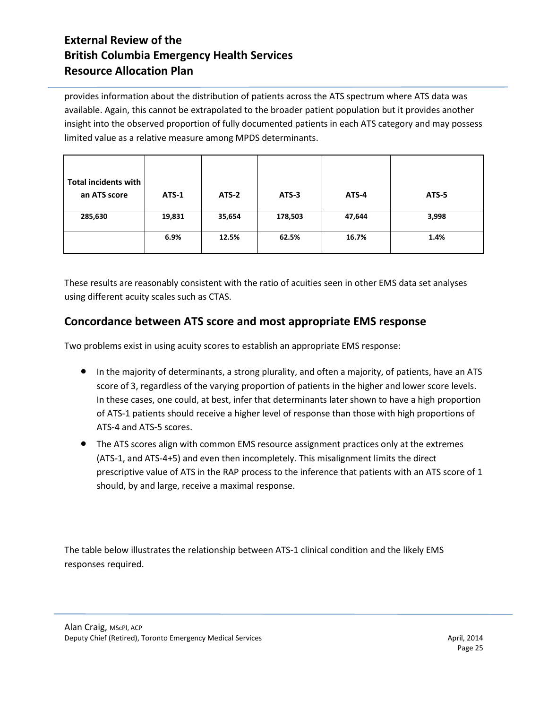provides information about the distribution of patients across the ATS spectrum where ATS data was available. Again, this cannot be extrapolated to the broader patient population but it provides another insight into the observed proportion of fully documented patients in each ATS category and may possess limited value as a relative measure among MPDS determinants.

| <b>Total incidents with</b><br>an ATS score | <b>ATS-1</b> | ATS-2  | ATS-3   | ATS-4  | ATS-5 |
|---------------------------------------------|--------------|--------|---------|--------|-------|
| 285,630                                     | 19,831       | 35,654 | 178,503 | 47,644 | 3,998 |
|                                             | 6.9%         | 12.5%  | 62.5%   | 16.7%  | 1.4%  |

These results are reasonably consistent with the ratio of acuities seen in other EMS data set analyses using different acuity scales such as CTAS.

### **Concordance between ATS score and most appropriate EMS response**

Two problems exist in using acuity scores to establish an appropriate EMS response:

- In the majority of determinants, a strong plurality, and often a majority, of patients, have an ATS score of 3, regardless of the varying proportion of patients in the higher and lower score levels. In these cases, one could, at best, infer that determinants later shown to have a high proportion of ATS-1 patients should receive a higher level of response than those with high proportions of ATS-4 and ATS-5 scores.
- The ATS scores align with common EMS resource assignment practices only at the extremes (ATS-1, and ATS-4+5) and even then incompletely. This misalignment limits the direct prescriptive value of ATS in the RAP process to the inference that patients with an ATS score of 1 should, by and large, receive a maximal response.

The table below illustrates the relationship between ATS-1 clinical condition and the likely EMS responses required.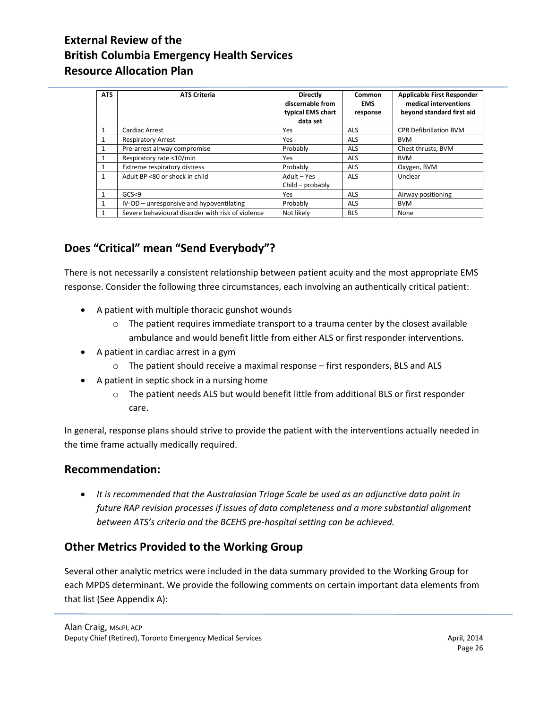| <b>ATS</b>   | <b>ATS Criteria</b>                               | <b>Directly</b><br>discernable from<br>typical EMS chart<br>data set | Common<br><b>EMS</b><br>response | <b>Applicable First Responder</b><br>medical interventions<br>beyond standard first aid |
|--------------|---------------------------------------------------|----------------------------------------------------------------------|----------------------------------|-----------------------------------------------------------------------------------------|
| $\mathbf{1}$ | Cardiac Arrest                                    | Yes                                                                  | <b>ALS</b>                       | <b>CPR Defibrillation BVM</b>                                                           |
| 1            | <b>Respiratory Arrest</b>                         | Yes                                                                  | <b>ALS</b>                       | <b>BVM</b>                                                                              |
| 1            | Pre-arrest airway compromise                      | Probably                                                             | <b>ALS</b>                       | Chest thrusts, BVM                                                                      |
|              | Respiratory rate <10/min                          | Yes                                                                  | <b>ALS</b>                       | <b>BVM</b>                                                                              |
| $\mathbf{1}$ | Extreme respiratory distress                      | Probably                                                             | <b>ALS</b>                       | Oxygen, BVM                                                                             |
|              | Adult BP <80 or shock in child                    | Adult - Yes<br>Child - probably                                      | <b>ALS</b>                       | Unclear                                                                                 |
|              | GCS < 9                                           | Yes                                                                  | <b>ALS</b>                       | Airway positioning                                                                      |
| $\mathbf{1}$ | IV-OD - unresponsive and hypoventilating          | Probably                                                             | <b>ALS</b>                       | <b>BVM</b>                                                                              |
|              | Severe behavioural disorder with risk of violence | Not likely                                                           | <b>BLS</b>                       | None                                                                                    |

# **Does "Critical" mean "Send Everybody"?**

There is not necessarily a consistent relationship between patient acuity and the most appropriate EMS response. Consider the following three circumstances, each involving an authentically critical patient:

- A patient with multiple thoracic gunshot wounds
	- $\circ$  The patient requires immediate transport to a trauma center by the closest available ambulance and would benefit little from either ALS or first responder interventions.
- A patient in cardiac arrest in a gym
	- o The patient should receive a maximal response first responders, BLS and ALS
- A patient in septic shock in a nursing home
	- o The patient needs ALS but would benefit little from additional BLS or first responder care.

In general, response plans should strive to provide the patient with the interventions actually needed in the time frame actually medically required.

#### **Recommendation:**

 *It is recommended that the Australasian Triage Scale be used as an adjunctive data point in future RAP revision processes if issues of data completeness and a more substantial alignment between ATS's criteria and the BCEHS pre-hospital setting can be achieved.*

### **Other Metrics Provided to the Working Group**

Several other analytic metrics were included in the data summary provided to the Working Group for each MPDS determinant. We provide the following comments on certain important data elements from that list (See Appendix A):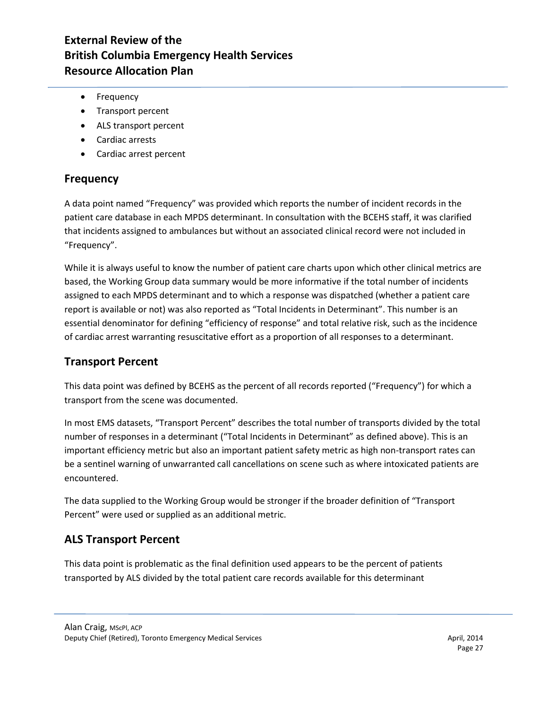- Frequency
- Transport percent
- ALS transport percent
- Cardiac arrests
- Cardiac arrest percent

#### **Frequency**

A data point named "Frequency" was provided which reports the number of incident records in the patient care database in each MPDS determinant. In consultation with the BCEHS staff, it was clarified that incidents assigned to ambulances but without an associated clinical record were not included in "Frequency".

While it is always useful to know the number of patient care charts upon which other clinical metrics are based, the Working Group data summary would be more informative if the total number of incidents assigned to each MPDS determinant and to which a response was dispatched (whether a patient care report is available or not) was also reported as "Total Incidents in Determinant". This number is an essential denominator for defining "efficiency of response" and total relative risk, such as the incidence of cardiac arrest warranting resuscitative effort as a proportion of all responses to a determinant.

#### **Transport Percent**

This data point was defined by BCEHS as the percent of all records reported ("Frequency") for which a transport from the scene was documented.

In most EMS datasets, "Transport Percent" describes the total number of transports divided by the total number of responses in a determinant ("Total Incidents in Determinant" as defined above). This is an important efficiency metric but also an important patient safety metric as high non-transport rates can be a sentinel warning of unwarranted call cancellations on scene such as where intoxicated patients are encountered.

The data supplied to the Working Group would be stronger if the broader definition of "Transport Percent" were used or supplied as an additional metric.

#### **ALS Transport Percent**

This data point is problematic as the final definition used appears to be the percent of patients transported by ALS divided by the total patient care records available for this determinant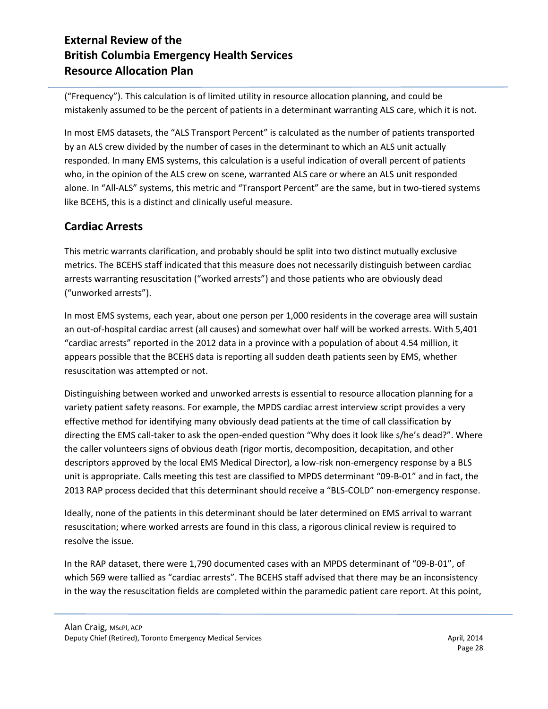("Frequency"). This calculation is of limited utility in resource allocation planning, and could be mistakenly assumed to be the percent of patients in a determinant warranting ALS care, which it is not.

In most EMS datasets, the "ALS Transport Percent" is calculated as the number of patients transported by an ALS crew divided by the number of cases in the determinant to which an ALS unit actually responded. In many EMS systems, this calculation is a useful indication of overall percent of patients who, in the opinion of the ALS crew on scene, warranted ALS care or where an ALS unit responded alone. In "All-ALS" systems, this metric and "Transport Percent" are the same, but in two-tiered systems like BCEHS, this is a distinct and clinically useful measure.

### **Cardiac Arrests**

This metric warrants clarification, and probably should be split into two distinct mutually exclusive metrics. The BCEHS staff indicated that this measure does not necessarily distinguish between cardiac arrests warranting resuscitation ("worked arrests") and those patients who are obviously dead ("unworked arrests").

In most EMS systems, each year, about one person per 1,000 residents in the coverage area will sustain an out-of-hospital cardiac arrest (all causes) and somewhat over half will be worked arrests. With 5,401 "cardiac arrests" reported in the 2012 data in a province with a population of about 4.54 million, it appears possible that the BCEHS data is reporting all sudden death patients seen by EMS, whether resuscitation was attempted or not.

Distinguishing between worked and unworked arrests is essential to resource allocation planning for a variety patient safety reasons. For example, the MPDS cardiac arrest interview script provides a very effective method for identifying many obviously dead patients at the time of call classification by directing the EMS call-taker to ask the open-ended question "Why does it look like s/he's dead?". Where the caller volunteers signs of obvious death (rigor mortis, decomposition, decapitation, and other descriptors approved by the local EMS Medical Director), a low-risk non-emergency response by a BLS unit is appropriate. Calls meeting this test are classified to MPDS determinant "09-B-01" and in fact, the 2013 RAP process decided that this determinant should receive a "BLS-COLD" non-emergency response.

Ideally, none of the patients in this determinant should be later determined on EMS arrival to warrant resuscitation; where worked arrests are found in this class, a rigorous clinical review is required to resolve the issue.

In the RAP dataset, there were 1,790 documented cases with an MPDS determinant of "09-B-01", of which 569 were tallied as "cardiac arrests". The BCEHS staff advised that there may be an inconsistency in the way the resuscitation fields are completed within the paramedic patient care report. At this point,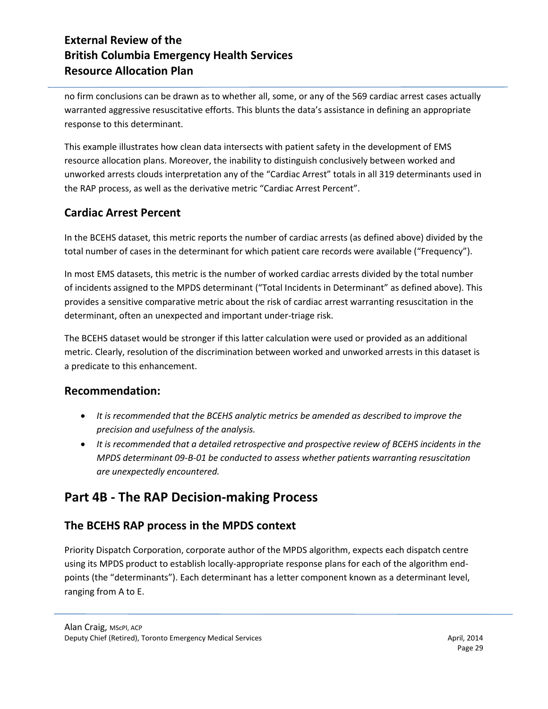no firm conclusions can be drawn as to whether all, some, or any of the 569 cardiac arrest cases actually warranted aggressive resuscitative efforts. This blunts the data's assistance in defining an appropriate response to this determinant.

This example illustrates how clean data intersects with patient safety in the development of EMS resource allocation plans. Moreover, the inability to distinguish conclusively between worked and unworked arrests clouds interpretation any of the "Cardiac Arrest" totals in all 319 determinants used in the RAP process, as well as the derivative metric "Cardiac Arrest Percent".

### **Cardiac Arrest Percent**

In the BCEHS dataset, this metric reports the number of cardiac arrests (as defined above) divided by the total number of cases in the determinant for which patient care records were available ("Frequency").

In most EMS datasets, this metric is the number of worked cardiac arrests divided by the total number of incidents assigned to the MPDS determinant ("Total Incidents in Determinant" as defined above). This provides a sensitive comparative metric about the risk of cardiac arrest warranting resuscitation in the determinant, often an unexpected and important under-triage risk.

The BCEHS dataset would be stronger if this latter calculation were used or provided as an additional metric. Clearly, resolution of the discrimination between worked and unworked arrests in this dataset is a predicate to this enhancement.

#### **Recommendation:**

- *It is recommended that the BCEHS analytic metrics be amended as described to improve the precision and usefulness of the analysis.*
- *It is recommended that a detailed retrospective and prospective review of BCEHS incidents in the MPDS determinant 09-B-01 be conducted to assess whether patients warranting resuscitation are unexpectedly encountered.*

# **Part 4B - The RAP Decision-making Process**

### **The BCEHS RAP process in the MPDS context**

Priority Dispatch Corporation, corporate author of the MPDS algorithm, expects each dispatch centre using its MPDS product to establish locally-appropriate response plans for each of the algorithm endpoints (the "determinants"). Each determinant has a letter component known as a determinant level, ranging from A to E.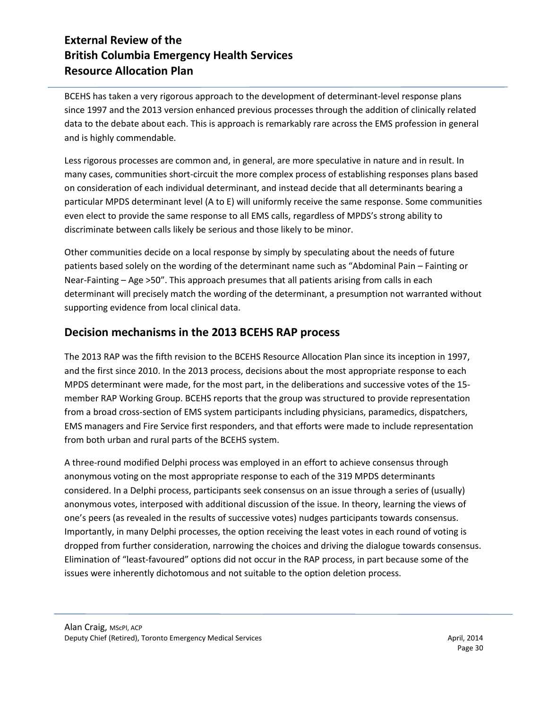BCEHS has taken a very rigorous approach to the development of determinant-level response plans since 1997 and the 2013 version enhanced previous processes through the addition of clinically related data to the debate about each. This is approach is remarkably rare across the EMS profession in general and is highly commendable.

Less rigorous processes are common and, in general, are more speculative in nature and in result. In many cases, communities short-circuit the more complex process of establishing responses plans based on consideration of each individual determinant, and instead decide that all determinants bearing a particular MPDS determinant level (A to E) will uniformly receive the same response. Some communities even elect to provide the same response to all EMS calls, regardless of MPDS's strong ability to discriminate between calls likely be serious and those likely to be minor.

Other communities decide on a local response by simply by speculating about the needs of future patients based solely on the wording of the determinant name such as "Abdominal Pain – Fainting or Near-Fainting – Age >50". This approach presumes that all patients arising from calls in each determinant will precisely match the wording of the determinant, a presumption not warranted without supporting evidence from local clinical data.

#### **Decision mechanisms in the 2013 BCEHS RAP process**

The 2013 RAP was the fifth revision to the BCEHS Resource Allocation Plan since its inception in 1997, and the first since 2010. In the 2013 process, decisions about the most appropriate response to each MPDS determinant were made, for the most part, in the deliberations and successive votes of the 15 member RAP Working Group. BCEHS reports that the group was structured to provide representation from a broad cross-section of EMS system participants including physicians, paramedics, dispatchers, EMS managers and Fire Service first responders, and that efforts were made to include representation from both urban and rural parts of the BCEHS system.

A three-round modified Delphi process was employed in an effort to achieve consensus through anonymous voting on the most appropriate response to each of the 319 MPDS determinants considered. In a Delphi process, participants seek consensus on an issue through a series of (usually) anonymous votes, interposed with additional discussion of the issue. In theory, learning the views of one's peers (as revealed in the results of successive votes) nudges participants towards consensus. Importantly, in many Delphi processes, the option receiving the least votes in each round of voting is dropped from further consideration, narrowing the choices and driving the dialogue towards consensus. Elimination of "least-favoured" options did not occur in the RAP process, in part because some of the issues were inherently dichotomous and not suitable to the option deletion process.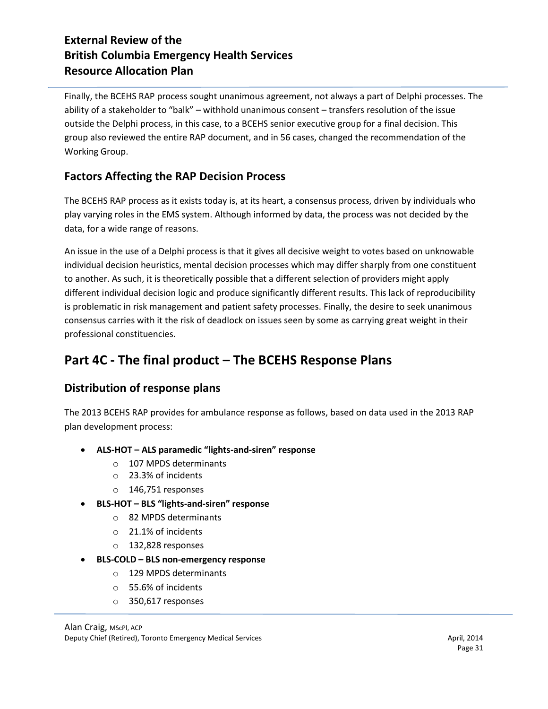Finally, the BCEHS RAP process sought unanimous agreement, not always a part of Delphi processes. The ability of a stakeholder to "balk" – withhold unanimous consent – transfers resolution of the issue outside the Delphi process, in this case, to a BCEHS senior executive group for a final decision. This group also reviewed the entire RAP document, and in 56 cases, changed the recommendation of the Working Group.

### **Factors Affecting the RAP Decision Process**

The BCEHS RAP process as it exists today is, at its heart, a consensus process, driven by individuals who play varying roles in the EMS system. Although informed by data, the process was not decided by the data, for a wide range of reasons.

An issue in the use of a Delphi process is that it gives all decisive weight to votes based on unknowable individual decision heuristics, mental decision processes which may differ sharply from one constituent to another. As such, it is theoretically possible that a different selection of providers might apply different individual decision logic and produce significantly different results. This lack of reproducibility is problematic in risk management and patient safety processes. Finally, the desire to seek unanimous consensus carries with it the risk of deadlock on issues seen by some as carrying great weight in their professional constituencies.

# **Part 4C - The final product – The BCEHS Response Plans**

### **Distribution of response plans**

The 2013 BCEHS RAP provides for ambulance response as follows, based on data used in the 2013 RAP plan development process:

- **ALS-HOT – ALS paramedic "lights-and-siren" response**
	- o 107 MPDS determinants
	- o 23.3% of incidents
	- o 146,751 responses
- **BLS-HOT – BLS "lights-and-siren" response**
	- o 82 MPDS determinants
	- o 21.1% of incidents
	- o 132,828 responses
- **BLS-COLD – BLS non-emergency response**
	- o 129 MPDS determinants
	- o 55.6% of incidents
	- o 350,617 responses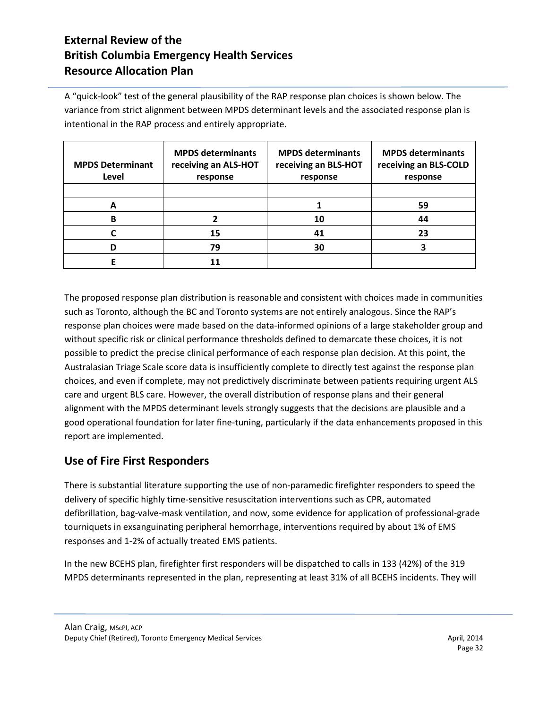A "quick-look" test of the general plausibility of the RAP response plan choices is shown below. The variance from strict alignment between MPDS determinant levels and the associated response plan is intentional in the RAP process and entirely appropriate.

| <b>MPDS Determinant</b><br>Level | <b>MPDS determinants</b><br>receiving an ALS-HOT<br>response | <b>MPDS determinants</b><br>receiving an BLS-HOT<br>response | <b>MPDS determinants</b><br>receiving an BLS-COLD<br>response |
|----------------------------------|--------------------------------------------------------------|--------------------------------------------------------------|---------------------------------------------------------------|
|                                  |                                                              |                                                              |                                                               |
| А                                |                                                              |                                                              | 59                                                            |
| B                                |                                                              | 10                                                           | 44                                                            |
|                                  | 15                                                           | 41                                                           | 23                                                            |
|                                  | 79                                                           | 30                                                           |                                                               |
|                                  |                                                              |                                                              |                                                               |

The proposed response plan distribution is reasonable and consistent with choices made in communities such as Toronto, although the BC and Toronto systems are not entirely analogous. Since the RAP's response plan choices were made based on the data-informed opinions of a large stakeholder group and without specific risk or clinical performance thresholds defined to demarcate these choices, it is not possible to predict the precise clinical performance of each response plan decision. At this point, the Australasian Triage Scale score data is insufficiently complete to directly test against the response plan choices, and even if complete, may not predictively discriminate between patients requiring urgent ALS care and urgent BLS care. However, the overall distribution of response plans and their general alignment with the MPDS determinant levels strongly suggests that the decisions are plausible and a good operational foundation for later fine-tuning, particularly if the data enhancements proposed in this report are implemented.

### **Use of Fire First Responders**

There is substantial literature supporting the use of non-paramedic firefighter responders to speed the delivery of specific highly time-sensitive resuscitation interventions such as CPR, automated defibrillation, bag-valve-mask ventilation, and now, some evidence for application of professional-grade tourniquets in exsanguinating peripheral hemorrhage, interventions required by about 1% of EMS responses and 1-2% of actually treated EMS patients.

In the new BCEHS plan, firefighter first responders will be dispatched to calls in 133 (42%) of the 319 MPDS determinants represented in the plan, representing at least 31% of all BCEHS incidents. They will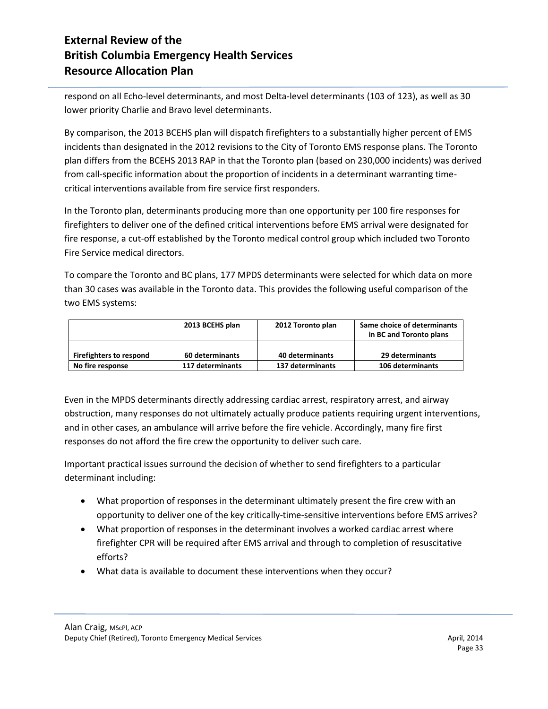respond on all Echo-level determinants, and most Delta-level determinants (103 of 123), as well as 30 lower priority Charlie and Bravo level determinants.

By comparison, the 2013 BCEHS plan will dispatch firefighters to a substantially higher percent of EMS incidents than designated in the 2012 revisions to the City of Toronto EMS response plans. The Toronto plan differs from the BCEHS 2013 RAP in that the Toronto plan (based on 230,000 incidents) was derived from call-specific information about the proportion of incidents in a determinant warranting timecritical interventions available from fire service first responders.

In the Toronto plan, determinants producing more than one opportunity per 100 fire responses for firefighters to deliver one of the defined critical interventions before EMS arrival were designated for fire response, a cut-off established by the Toronto medical control group which included two Toronto Fire Service medical directors.

To compare the Toronto and BC plans, 177 MPDS determinants were selected for which data on more than 30 cases was available in the Toronto data. This provides the following useful comparison of the two EMS systems:

|                                | 2013 BCEHS plan  | 2012 Toronto plan | Same choice of determinants<br>in BC and Toronto plans |
|--------------------------------|------------------|-------------------|--------------------------------------------------------|
|                                |                  |                   |                                                        |
| <b>Firefighters to respond</b> | 60 determinants  | 40 determinants   | 29 determinants                                        |
| No fire response               | 117 determinants | 137 determinants  | 106 determinants                                       |

Even in the MPDS determinants directly addressing cardiac arrest, respiratory arrest, and airway obstruction, many responses do not ultimately actually produce patients requiring urgent interventions, and in other cases, an ambulance will arrive before the fire vehicle. Accordingly, many fire first responses do not afford the fire crew the opportunity to deliver such care.

Important practical issues surround the decision of whether to send firefighters to a particular determinant including:

- What proportion of responses in the determinant ultimately present the fire crew with an opportunity to deliver one of the key critically-time-sensitive interventions before EMS arrives?
- What proportion of responses in the determinant involves a worked cardiac arrest where firefighter CPR will be required after EMS arrival and through to completion of resuscitative efforts?
- What data is available to document these interventions when they occur?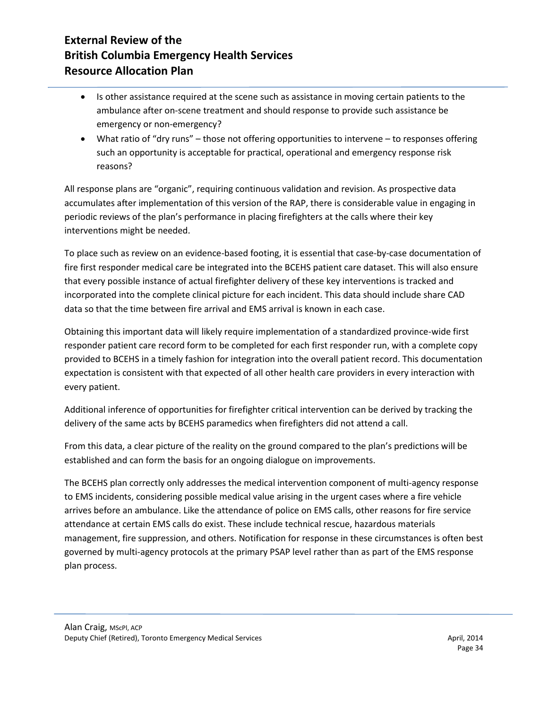- Is other assistance required at the scene such as assistance in moving certain patients to the ambulance after on-scene treatment and should response to provide such assistance be emergency or non-emergency?
- What ratio of "dry runs" those not offering opportunities to intervene to responses offering such an opportunity is acceptable for practical, operational and emergency response risk reasons?

All response plans are "organic", requiring continuous validation and revision. As prospective data accumulates after implementation of this version of the RAP, there is considerable value in engaging in periodic reviews of the plan's performance in placing firefighters at the calls where their key interventions might be needed.

To place such as review on an evidence-based footing, it is essential that case-by-case documentation of fire first responder medical care be integrated into the BCEHS patient care dataset. This will also ensure that every possible instance of actual firefighter delivery of these key interventions is tracked and incorporated into the complete clinical picture for each incident. This data should include share CAD data so that the time between fire arrival and EMS arrival is known in each case.

Obtaining this important data will likely require implementation of a standardized province-wide first responder patient care record form to be completed for each first responder run, with a complete copy provided to BCEHS in a timely fashion for integration into the overall patient record. This documentation expectation is consistent with that expected of all other health care providers in every interaction with every patient.

Additional inference of opportunities for firefighter critical intervention can be derived by tracking the delivery of the same acts by BCEHS paramedics when firefighters did not attend a call.

From this data, a clear picture of the reality on the ground compared to the plan's predictions will be established and can form the basis for an ongoing dialogue on improvements.

The BCEHS plan correctly only addresses the medical intervention component of multi-agency response to EMS incidents, considering possible medical value arising in the urgent cases where a fire vehicle arrives before an ambulance. Like the attendance of police on EMS calls, other reasons for fire service attendance at certain EMS calls do exist. These include technical rescue, hazardous materials management, fire suppression, and others. Notification for response in these circumstances is often best governed by multi-agency protocols at the primary PSAP level rather than as part of the EMS response plan process.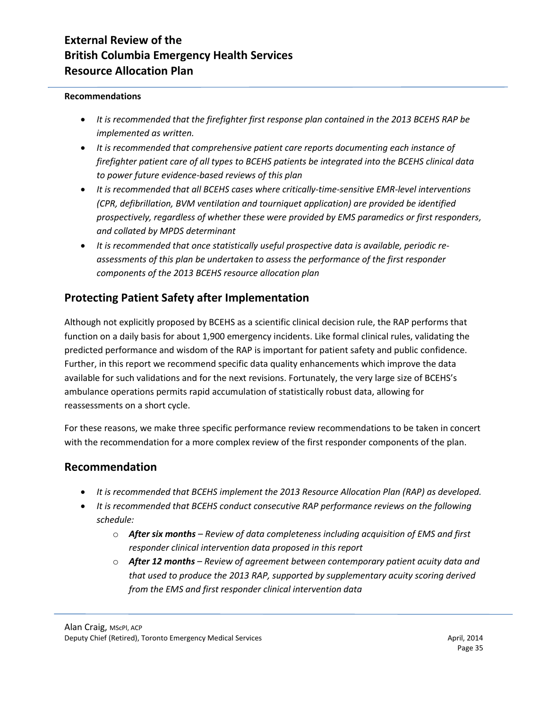#### **Recommendations**

- *It is recommended that the firefighter first response plan contained in the 2013 BCEHS RAP be implemented as written.*
- *It is recommended that comprehensive patient care reports documenting each instance of firefighter patient care of all types to BCEHS patients be integrated into the BCEHS clinical data to power future evidence-based reviews of this plan*
- *It is recommended that all BCEHS cases where critically-time-sensitive EMR-level interventions (CPR, defibrillation, BVM ventilation and tourniquet application) are provided be identified prospectively, regardless of whether these were provided by EMS paramedics or first responders, and collated by MPDS determinant*
- *It is recommended that once statistically useful prospective data is available, periodic reassessments of this plan be undertaken to assess the performance of the first responder components of the 2013 BCEHS resource allocation plan*

### **Protecting Patient Safety after Implementation**

Although not explicitly proposed by BCEHS as a scientific clinical decision rule, the RAP performs that function on a daily basis for about 1,900 emergency incidents. Like formal clinical rules, validating the predicted performance and wisdom of the RAP is important for patient safety and public confidence. Further, in this report we recommend specific data quality enhancements which improve the data available for such validations and for the next revisions. Fortunately, the very large size of BCEHS's ambulance operations permits rapid accumulation of statistically robust data, allowing for reassessments on a short cycle.

For these reasons, we make three specific performance review recommendations to be taken in concert with the recommendation for a more complex review of the first responder components of the plan.

#### **Recommendation**

- *It is recommended that BCEHS implement the 2013 Resource Allocation Plan (RAP) as developed.*
- *It is recommended that BCEHS conduct consecutive RAP performance reviews on the following schedule:*
	- o *After six months – Review of data completeness including acquisition of EMS and first responder clinical intervention data proposed in this report*
	- o *After 12 months – Review of agreement between contemporary patient acuity data and that used to produce the 2013 RAP, supported by supplementary acuity scoring derived from the EMS and first responder clinical intervention data*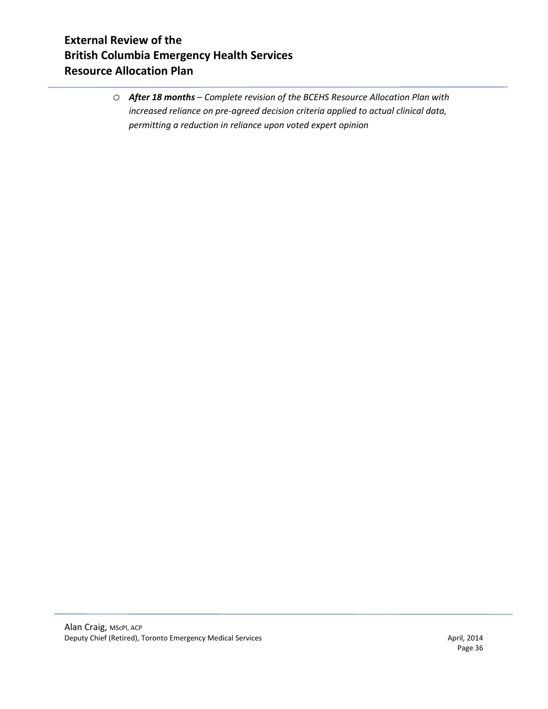o *After 18 months – Complete revision of the BCEHS Resource Allocation Plan with increased reliance on pre-agreed decision criteria applied to actual clinical data, permitting a reduction in reliance upon voted expert opinion*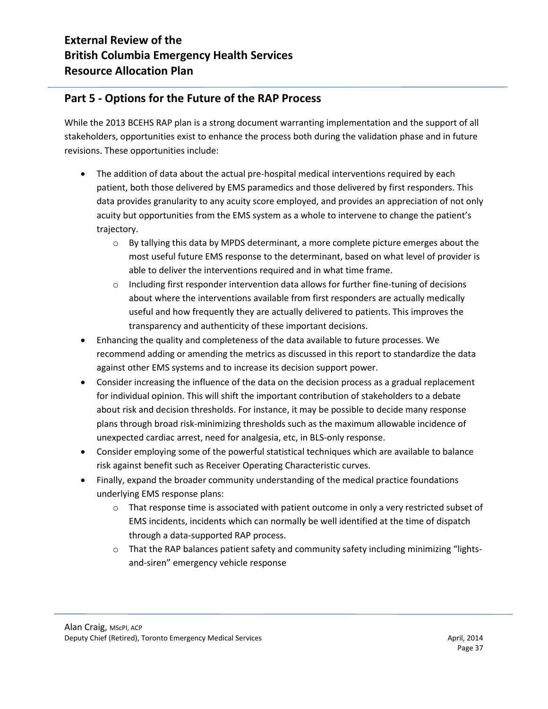### **Part 5 - Options for the Future of the RAP Process**

While the 2013 BCEHS RAP plan is a strong document warranting implementation and the support of all stakeholders, opportunities exist to enhance the process both during the validation phase and in future revisions. These opportunities include:

- The addition of data about the actual pre-hospital medical interventions required by each patient, both those delivered by EMS paramedics and those delivered by first responders. This data provides granularity to any acuity score employed, and provides an appreciation of not only acuity but opportunities from the EMS system as a whole to intervene to change the patient's trajectory.
	- $\circ$  By tallying this data by MPDS determinant, a more complete picture emerges about the most useful future EMS response to the determinant, based on what level of provider is able to deliver the interventions required and in what time frame.
	- $\circ$  Including first responder intervention data allows for further fine-tuning of decisions about where the interventions available from first responders are actually medically useful and how frequently they are actually delivered to patients. This improves the transparency and authenticity of these important decisions.
- Enhancing the quality and completeness of the data available to future processes. We recommend adding or amending the metrics as discussed in this report to standardize the data against other EMS systems and to increase its decision support power.
- Consider increasing the influence of the data on the decision process as a gradual replacement for individual opinion. This will shift the important contribution of stakeholders to a debate about risk and decision thresholds. For instance, it may be possible to decide many response plans through broad risk-minimizing thresholds such as the maximum allowable incidence of unexpected cardiac arrest, need for analgesia, etc, in BLS-only response.
- Consider employing some of the powerful statistical techniques which are available to balance risk against benefit such as Receiver Operating Characteristic curves.
- Finally, expand the broader community understanding of the medical practice foundations underlying EMS response plans:
	- $\circ$  That response time is associated with patient outcome in only a very restricted subset of EMS incidents, incidents which can normally be well identified at the time of dispatch through a data-supported RAP process.
	- $\circ$  That the RAP balances patient safety and community safety including minimizing "lightsand-siren" emergency vehicle response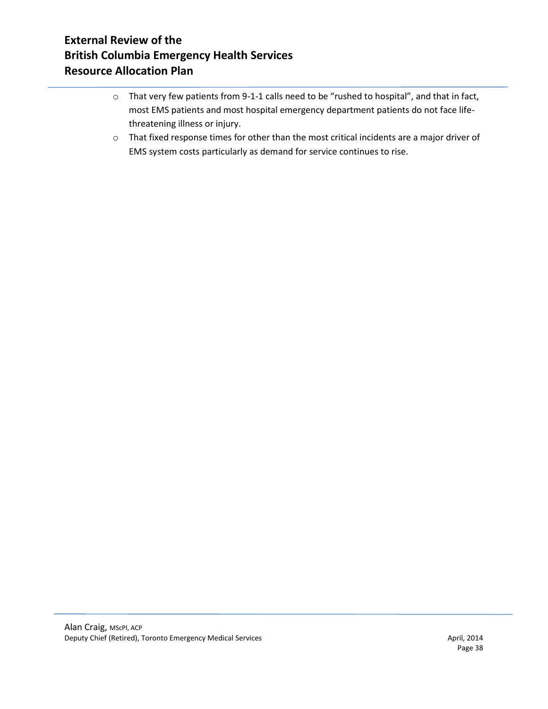- o That very few patients from 9-1-1 calls need to be "rushed to hospital", and that in fact, most EMS patients and most hospital emergency department patients do not face lifethreatening illness or injury.
- o That fixed response times for other than the most critical incidents are a major driver of EMS system costs particularly as demand for service continues to rise.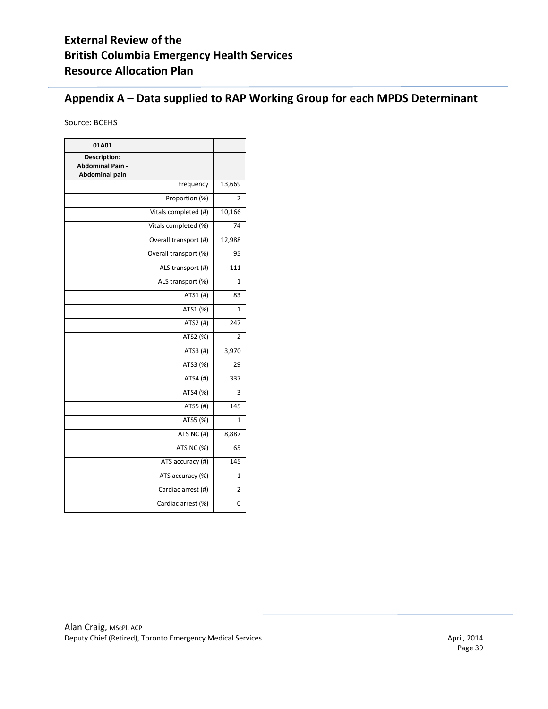## **Appendix A – Data supplied to RAP Working Group for each MPDS Determinant**

Source: BCEHS

| 01A01                                                                   |                       |                |
|-------------------------------------------------------------------------|-----------------------|----------------|
| <b>Description:</b><br><b>Abdominal Pain -</b><br><b>Abdominal pain</b> |                       |                |
|                                                                         | Frequency             | 13,669         |
|                                                                         | Proportion (%)        | 2              |
|                                                                         | Vitals completed (#)  | 10,166         |
|                                                                         | Vitals completed (%)  | 74             |
|                                                                         | Overall transport (#) | 12,988         |
|                                                                         | Overall transport (%) | 95             |
|                                                                         | ALS transport (#)     | 111            |
|                                                                         | ALS transport (%)     | $\mathbf{1}$   |
|                                                                         | ATS1 (#)              | 83             |
|                                                                         | ATS1 (%)              | $\mathbf{1}$   |
|                                                                         | ATS2 (#)              | 247            |
|                                                                         | ATS2 (%)              | $\mathfrak{p}$ |
|                                                                         | ATS3 (#)              | 3,970          |
|                                                                         | ATS3 (%)              | 29             |
|                                                                         | ATS4 (#)              | 337            |
|                                                                         | ATS4 (%)              | 3              |
|                                                                         | ATS5 (#)              | 145            |
|                                                                         | ATS5 (%)              | $\mathbf{1}$   |
|                                                                         | ATS NC (#)            | 8,887          |
|                                                                         | ATS NC (%)            | 65             |
|                                                                         | ATS accuracy (#)      | 145            |
|                                                                         | ATS accuracy (%)      | 1              |
|                                                                         | Cardiac arrest (#)    | $\overline{2}$ |
|                                                                         | Cardiac arrest (%)    | $\Omega$       |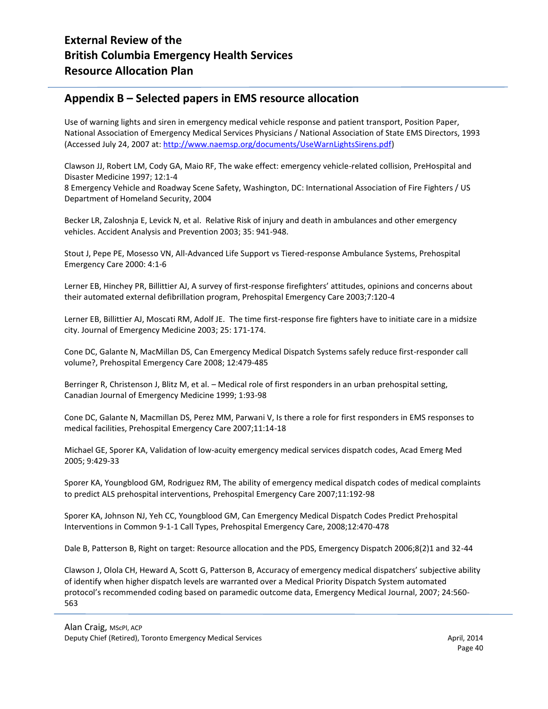#### **Appendix B – Selected papers in EMS resource allocation**

Use of warning lights and siren in emergency medical vehicle response and patient transport, Position Paper, National Association of Emergency Medical Services Physicians / National Association of State EMS Directors, 1993 (Accessed July 24, 2007 at[: http://www.naemsp.org/documents/UseWarnLightsSirens.pdf\)](http://www.naemsp.org/documents/UseWarnLightsSirens.pdf)

Clawson JJ, Robert LM, Cody GA, Maio RF, The wake effect: emergency vehicle-related collision, PreHospital and Disaster Medicine 1997; 12:1-4

8 Emergency Vehicle and Roadway Scene Safety, Washington, DC: International Association of Fire Fighters / US Department of Homeland Security, 2004

Becker LR, Zaloshnja E, Levick N, et al. Relative Risk of injury and death in ambulances and other emergency vehicles. Accident Analysis and Prevention 2003; 35: 941-948.

Stout J, Pepe PE, Mosesso VN, All-Advanced Life Support vs Tiered-response Ambulance Systems, Prehospital Emergency Care 2000: 4:1-6

Lerner EB, Hinchey PR, Billittier AJ, A survey of first-response firefighters' attitudes, opinions and concerns about their automated external defibrillation program, Prehospital Emergency Care 2003;7:120-4

Lerner EB, Billittier AJ, Moscati RM, Adolf JE. The time first-response fire fighters have to initiate care in a midsize city. Journal of Emergency Medicine 2003; 25: 171-174.

Cone DC, Galante N, MacMillan DS, Can Emergency Medical Dispatch Systems safely reduce first-responder call volume?, Prehospital Emergency Care 2008; 12:479-485

Berringer R, Christenson J, Blitz M, et al. – Medical role of first responders in an urban prehospital setting, Canadian Journal of Emergency Medicine 1999; 1:93-98

Cone DC, Galante N, Macmillan DS, Perez MM, Parwani V, Is there a role for first responders in EMS responses to medical facilities, Prehospital Emergency Care 2007;11:14-18

Michael GE, Sporer KA, Validation of low-acuity emergency medical services dispatch codes, Acad Emerg Med 2005; 9:429-33

Sporer KA, Youngblood GM, Rodriguez RM, The ability of emergency medical dispatch codes of medical complaints to predict ALS prehospital interventions, Prehospital Emergency Care 2007;11:192-98

Sporer KA, Johnson NJ, Yeh CC, Youngblood GM, Can Emergency Medical Dispatch Codes Predict Prehospital Interventions in Common 9-1-1 Call Types, Prehospital Emergency Care, 2008;12:470-478

Dale B, Patterson B, Right on target: Resource allocation and the PDS, Emergency Dispatch 2006;8(2)1 and 32-44

Clawson J, Olola CH, Heward A, Scott G, Patterson B, Accuracy of emergency medical dispatchers' subjective ability of identify when higher dispatch levels are warranted over a Medical Priority Dispatch System automated protocol's recommended coding based on paramedic outcome data, Emergency Medical Journal, 2007; 24:560- 563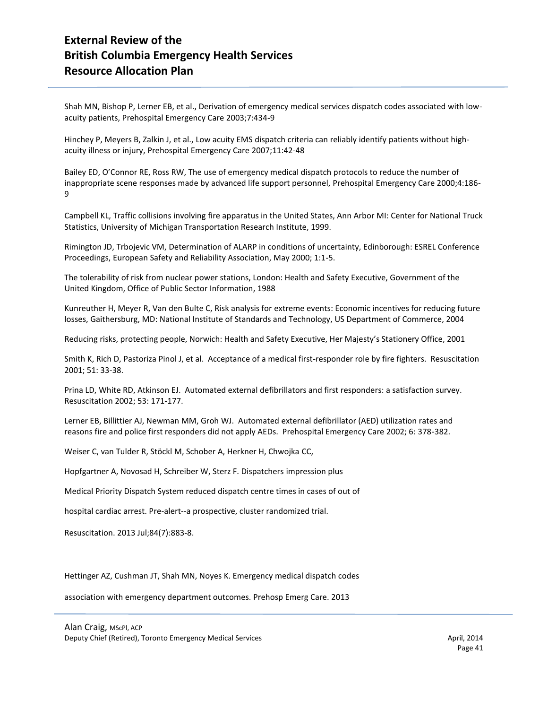Shah MN, Bishop P, Lerner EB, et al., Derivation of emergency medical services dispatch codes associated with lowacuity patients, Prehospital Emergency Care 2003;7:434-9

Hinchey P, Meyers B, Zalkin J, et al., Low acuity EMS dispatch criteria can reliably identify patients without highacuity illness or injury, Prehospital Emergency Care 2007;11:42-48

Bailey ED, O'Connor RE, Ross RW, The use of emergency medical dispatch protocols to reduce the number of inappropriate scene responses made by advanced life support personnel, Prehospital Emergency Care 2000;4:186- 9

Campbell KL, Traffic collisions involving fire apparatus in the United States, Ann Arbor MI: Center for National Truck Statistics, University of Michigan Transportation Research Institute, 1999.

Rimington JD, Trbojevic VM, Determination of ALARP in conditions of uncertainty, Edinborough: ESREL Conference Proceedings, European Safety and Reliability Association, May 2000; 1:1-5.

The tolerability of risk from nuclear power stations, London: Health and Safety Executive, Government of the United Kingdom, Office of Public Sector Information, 1988

Kunreuther H, Meyer R, Van den Bulte C, Risk analysis for extreme events: Economic incentives for reducing future losses, Gaithersburg, MD: National Institute of Standards and Technology, US Department of Commerce, 2004

Reducing risks, protecting people, Norwich: Health and Safety Executive, Her Majesty's Stationery Office, 2001

Smith K, Rich D, Pastoriza Pinol J, et al. Acceptance of a medical first-responder role by fire fighters. Resuscitation 2001; 51: 33-38.

Prina LD, White RD, Atkinson EJ. Automated external defibrillators and first responders: a satisfaction survey. Resuscitation 2002; 53: 171-177.

Lerner EB, Billittier AJ, Newman MM, Groh WJ. Automated external defibrillator (AED) utilization rates and reasons fire and police first responders did not apply AEDs. Prehospital Emergency Care 2002; 6: 378-382.

Weiser C, van Tulder R, Stöckl M, Schober A, Herkner H, Chwojka CC,

Hopfgartner A, Novosad H, Schreiber W, Sterz F. Dispatchers impression plus

Medical Priority Dispatch System reduced dispatch centre times in cases of out of

hospital cardiac arrest. Pre-alert--a prospective, cluster randomized trial.

Resuscitation. 2013 Jul;84(7):883-8.

Hettinger AZ, Cushman JT, Shah MN, Noyes K. Emergency medical dispatch codes

association with emergency department outcomes. Prehosp Emerg Care. 2013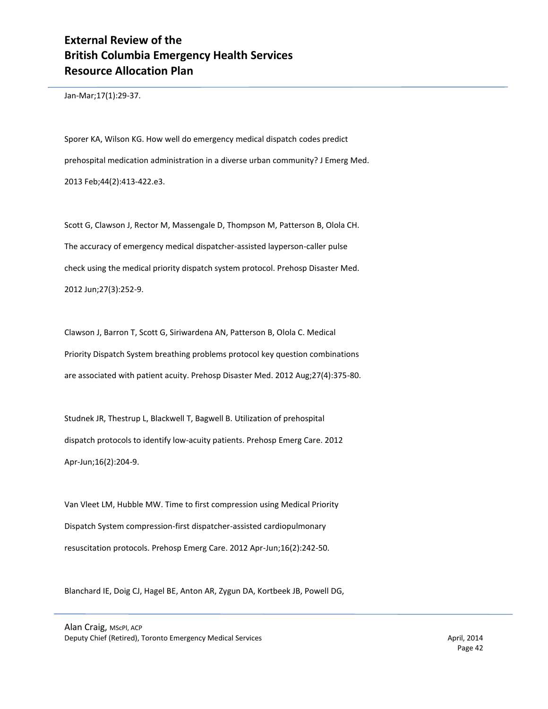Jan-Mar;17(1):29-37.

Sporer KA, Wilson KG. How well do emergency medical dispatch codes predict prehospital medication administration in a diverse urban community? J Emerg Med. 2013 Feb;44(2):413-422.e3.

Scott G, Clawson J, Rector M, Massengale D, Thompson M, Patterson B, Olola CH. The accuracy of emergency medical dispatcher-assisted layperson-caller pulse check using the medical priority dispatch system protocol. Prehosp Disaster Med. 2012 Jun;27(3):252-9.

Clawson J, Barron T, Scott G, Siriwardena AN, Patterson B, Olola C. Medical Priority Dispatch System breathing problems protocol key question combinations are associated with patient acuity. Prehosp Disaster Med. 2012 Aug;27(4):375-80.

Studnek JR, Thestrup L, Blackwell T, Bagwell B. Utilization of prehospital dispatch protocols to identify low-acuity patients. Prehosp Emerg Care. 2012 Apr-Jun;16(2):204-9.

Van Vleet LM, Hubble MW. Time to first compression using Medical Priority Dispatch System compression-first dispatcher-assisted cardiopulmonary resuscitation protocols. Prehosp Emerg Care. 2012 Apr-Jun;16(2):242-50.

Blanchard IE, Doig CJ, Hagel BE, Anton AR, Zygun DA, Kortbeek JB, Powell DG,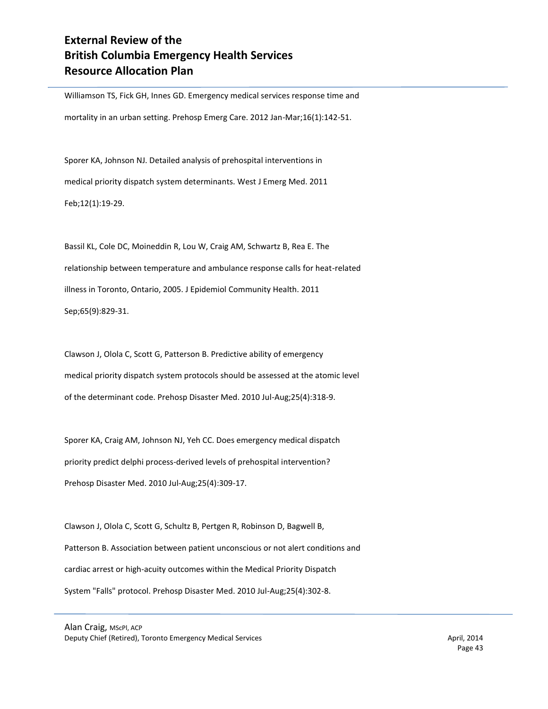Williamson TS, Fick GH, Innes GD. Emergency medical services response time and mortality in an urban setting. Prehosp Emerg Care. 2012 Jan-Mar;16(1):142-51.

Sporer KA, Johnson NJ. Detailed analysis of prehospital interventions in medical priority dispatch system determinants. West J Emerg Med. 2011 Feb;12(1):19-29.

Bassil KL, Cole DC, Moineddin R, Lou W, Craig AM, Schwartz B, Rea E. The relationship between temperature and ambulance response calls for heat-related illness in Toronto, Ontario, 2005. J Epidemiol Community Health. 2011 Sep;65(9):829-31.

Clawson J, Olola C, Scott G, Patterson B. Predictive ability of emergency medical priority dispatch system protocols should be assessed at the atomic level of the determinant code. Prehosp Disaster Med. 2010 Jul-Aug;25(4):318-9.

Sporer KA, Craig AM, Johnson NJ, Yeh CC. Does emergency medical dispatch priority predict delphi process-derived levels of prehospital intervention? Prehosp Disaster Med. 2010 Jul-Aug;25(4):309-17.

Clawson J, Olola C, Scott G, Schultz B, Pertgen R, Robinson D, Bagwell B, Patterson B. Association between patient unconscious or not alert conditions and cardiac arrest or high-acuity outcomes within the Medical Priority Dispatch System "Falls" protocol. Prehosp Disaster Med. 2010 Jul-Aug;25(4):302-8.